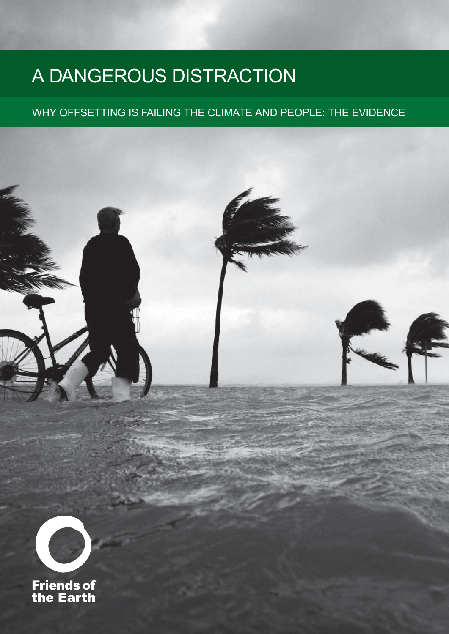# A dangerous distraction

### Why offsetting is failing the climate and people: the evidence

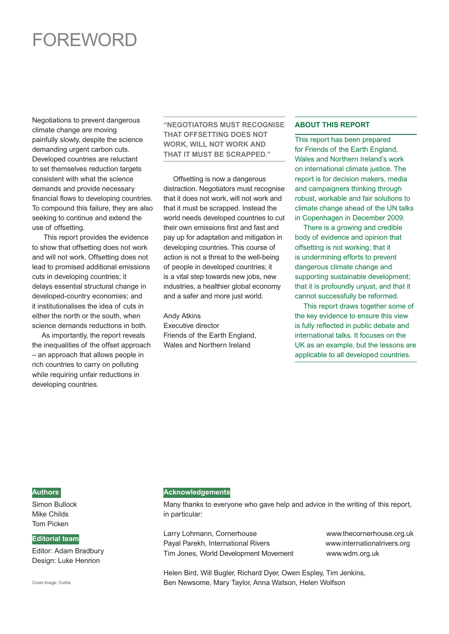## **FOREWORD**

Negotiations to prevent dangerous climate change are moving painfully slowly, despite the science demanding urgent carbon cuts. Developed countries are reluctant to set themselves reduction targets consistent with what the science demands and provide necessary financial flows to developing countries. To compound this failure, they are also seeking to continue and extend the use of offsetting.

This report provides the evidence to show that offsetting does not work and will not work. Offsetting does not lead to promised additional emissions cuts in developing countries; it delays essential structural change in developed-country economies; and it institutionalises the idea of cuts in either the north or the south, when science demands reductions in both.

As importantly, the report reveals the inequalities of the offset approach – an approach that allows people in rich countries to carry on polluting while requiring unfair reductions in developing countries.

#### **"Negotiators must recognise that offsetting does not WORK, WILL NOT WORK AND that it must be scrapped."**

 Offsetting is now a dangerous distraction. Negotiators must recognise that it does not work, will not work and that it must be scrapped. Instead the world needs developed countries to cut their own emissions first and fast and pay up for adaptation and mitigation in developing countries. This course of action is not a threat to the well-being of people in developed countries; it is a vital step towards new jobs, new industries, a healthier global economy and a safer and more just world.

Andy Atkins Executive director Friends of the Earth England, Wales and Northern Ireland

#### **About this report**

This report has been prepared for Friends of the Earth England, Wales and Northern Ireland's work on international climate justice. The report is for decision makers, media and campaigners thinking through robust, workable and fair solutions to climate change ahead of the UN talks in Copenhagen in December 2009.

 There is a growing and credible body of evidence and opinion that offsetting is not working; that it is undermining efforts to prevent dangerous climate change and supporting sustainable development; that it is profoundly unjust, and that it cannot successfully be reformed.

 This report draws together some of the key evidence to ensure this view is fully reflected in public debate and international talks. It focuses on the UK as an example, but the lessons are applicable to all developed countries.

#### **Authors**

Simon Bullock Mike Childs Tom Picken

#### **Editorial team**

Editor: Adam Bradbury Design: Luke Henrion

Cover image: Corbis

#### **Acknowledgements**

Many thanks to everyone who gave help and advice in the writing of this report, in particular:

Larry Lohmann, Cornerhouse www.thecornerhouse.org.uk Payal Parekh, International Rivers www.internationalrivers.org Tim Jones, World Development Movement www.wdm.org.uk

Helen Bird, Will Bugler, Richard Dyer, Owen Espley, Tim Jenkins, Ben Newsome, Mary Taylor, Anna Watson, Helen Wolfson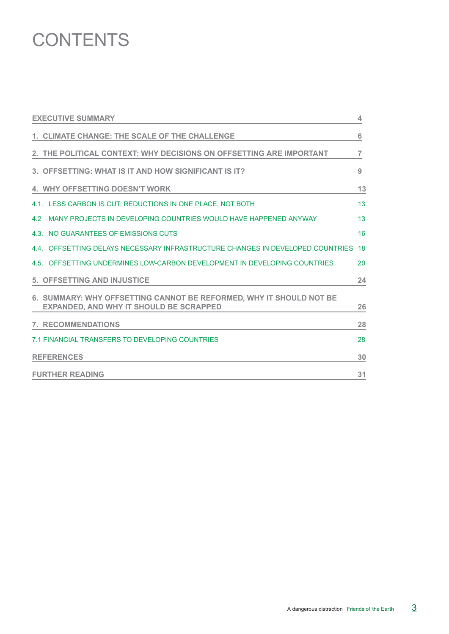## **CONTENTS**

| <b>EXECUTIVE SUMMARY</b>                                                                                              | 4              |
|-----------------------------------------------------------------------------------------------------------------------|----------------|
| 1. CLIMATE CHANGE: THE SCALE OF THE CHALLENGE                                                                         | 6              |
| 2. THE POLITICAL CONTEXT: WHY DECISIONS ON OFFSETTING ARE IMPORTANT                                                   | $\overline{7}$ |
| 3. OFFSETTING: WHAT IS IT AND HOW SIGNIFICANT IS IT?                                                                  | 9              |
| <b>4. WHY OFFSETTING DOESN'T WORK</b>                                                                                 | 13             |
| 4.1. LESS CARBON IS CUT: REDUCTIONS IN ONE PLACE, NOT BOTH                                                            | 13             |
| 4.2<br>MANY PROJECTS IN DEVELOPING COUNTRIES WOULD HAVE HAPPENED ANYWAY                                               | 13             |
| 4.3. NO GUARANTEES OF EMISSIONS CUTS                                                                                  | 16             |
| 4.4. OFFSETTING DELAYS NECESSARY INFRASTRUCTURE CHANGES IN DEVELOPED COUNTRIES                                        | 18             |
| 4.5. OFFSETTING UNDERMINES LOW-CARBON DEVELOPMENT IN DEVELOPING COUNTRIES                                             | 20             |
| <b>5. OFFSETTING AND INJUSTICE</b>                                                                                    | 24             |
| 6. SUMMARY: WHY OFFSETTING CANNOT BE REFORMED, WHY IT SHOULD NOT BE<br><b>EXPANDED, AND WHY IT SHOULD BE SCRAPPED</b> | 26             |
| <b>7. RECOMMENDATIONS</b>                                                                                             | 28             |
| 7.1 FINANCIAL TRANSFERS TO DEVELOPING COUNTRIES                                                                       | 28             |
| <b>REFERENCES</b>                                                                                                     | 30             |
| <b>FURTHER READING</b>                                                                                                | 31             |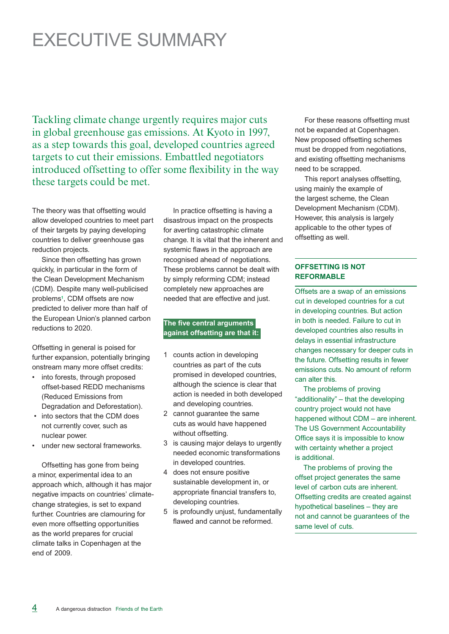## Executive summary

Tackling climate change urgently requires major cuts in global greenhouse gas emissions. At Kyoto in 1997, as a step towards this goal, developed countries agreed targets to cut their emissions. Embattled negotiators introduced offsetting to offer some flexibility in the way these targets could be met.

The theory was that offsetting would allow developed countries to meet part of their targets by paying developing countries to deliver greenhouse gas reduction projects.

 Since then offsetting has grown quickly, in particular in the form of the Clean Development Mechanism (CDM). Despite many well-publicised problems**<sup>1</sup>** , CDM offsets are now predicted to deliver more than half of the European Union's planned carbon reductions to 2020.

Offsetting in general is poised for further expansion, potentially bringing onstream many more offset credits:

- into forests, through proposed offset-based REDD mechanisms (Reduced Emissions from Degradation and Deforestation).
- into sectors that the CDM does not currently cover, such as nuclear power.
- under new sectoral frameworks.

Offsetting has gone from being a minor, experimental idea to an approach which, although it has major negative impacts on countries' climatechange strategies, is set to expand further. Countries are clamouring for even more offsetting opportunities as the world prepares for crucial climate talks in Copenhagen at the end of 2009.

In practice offsetting is having a disastrous impact on the prospects for averting catastrophic climate change. It is vital that the inherent and systemic flaws in the approach are recognised ahead of negotiations. These problems cannot be dealt with by simply reforming CDM; instead completely new approaches are needed that are effective and just.

#### **The five central arguments against offsetting are that it:**

- 1 counts action in developing countries as part of the cuts promised in developed countries, although the science is clear that action is needed in both developed and developing countries.
- 2 cannot guarantee the same cuts as would have happened without offsetting.
- 3 is causing major delays to urgently needed economic transformations in developed countries.
- 4 does not ensure positive sustainable development in, or appropriate financial transfers to, developing countries.
- 5 is profoundly unjust, fundamentally flawed and cannot be reformed.

For these reasons offsetting must not be expanded at Copenhagen. New proposed offsetting schemes must be dropped from negotiations, and existing offsetting mechanisms need to be scrapped.

This report analyses offsetting, using mainly the example of the largest scheme, the Clean Development Mechanism (CDM). However, this analysis is largely applicable to the other types of offsetting as well.

#### **Offsetting is not reformable**

Offsets are a swap of an emissions cut in developed countries for a cut in developing countries. But action in both is needed. Failure to cut in developed countries also results in delays in essential infrastructure changes necessary for deeper cuts in the future. Offsetting results in fewer emissions cuts. No amount of reform can alter this.

 The problems of proving "additionality" – that the developing country project would not have happened without CDM – are inherent. The US Government Accountability Office says it is impossible to know with certainty whether a project is additional.

 The problems of proving the offset project generates the same level of carbon cuts are inherent. Offsetting credits are created against hypothetical baselines – they are not and cannot be guarantees of the same level of cuts.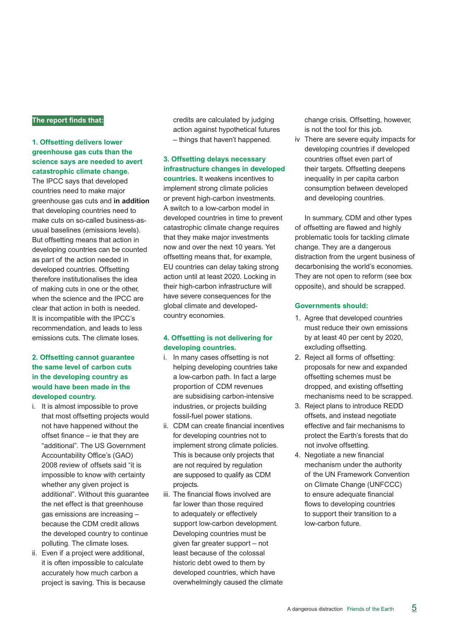#### **The report finds that:**

#### **1. Offsetting delivers lower greenhouse gas cuts than the science says are needed to avert catastrophic climate change.**

The IPCC says that developed countries need to make major greenhouse gas cuts and **in addition** that developing countries need to make cuts on so-called business-asusual baselines (emissions levels). But offsetting means that action in developing countries can be counted as part of the action needed in developed countries. Offsetting therefore institutionalises the idea of making cuts in one or the other, when the science and the IPCC are clear that action in both is needed. It is incompatible with the IPCC's recommendation, and leads to less emissions cuts. The climate loses.

#### **2. Offsetting cannot guarantee the same level of carbon cuts in the developing country as would have been made in the developed country.**

- i. It is almost impossible to prove that most offsetting projects would not have happened without the offset finance – ie that they are "additional". The US Government Accountability Office's (GAO) 2008 review of offsets said "it is impossible to know with certainty whether any given project is additional". Without this guarantee the net effect is that greenhouse gas emissions are increasing – because the CDM credit allows the developed country to continue polluting. The climate loses.
- ii. Even if a project were additional, it is often impossible to calculate accurately how much carbon a project is saving. This is because

credits are calculated by judging action against hypothetical futures – things that haven't happened.

### **3. Offsetting delays necessary infrastructure changes in developed**

**countries.** It weakens incentives to implement strong climate policies or prevent high-carbon investments. A switch to a low-carbon model in developed countries in time to prevent catastrophic climate change requires that they make major investments now and over the next 10 years. Yet offsetting means that, for example, EU countries can delay taking strong action until at least 2020. Locking in their high-carbon infrastructure will have severe consequences for the global climate and developedcountry economies.

#### **4. Offsetting is not delivering for developing countries.**

- i. In many cases offsetting is not helping developing countries take a low-carbon path. In fact a large proportion of CDM revenues are subsidising carbon-intensive industries, or projects building fossil-fuel power stations.
- ii. CDM can create financial incentives for developing countries not to implement strong climate policies. This is because only projects that are not required by regulation are supposed to qualify as CDM projects.
- iii. The financial flows involved are far lower than those required to adequately or effectively support low-carbon development. Developing countries must be given far greater support – not least because of the colossal historic debt owed to them by developed countries, which have overwhelmingly caused the climate

change crisis. Offsetting, however, is not the tool for this job.

iv There are severe equity impacts for developing countries if developed countries offset even part of their targets. Offsetting deepens inequality in per capita carbon consumption between developed and developing countries.

In summary, CDM and other types of offsetting are flawed and highly problematic tools for tackling climate change. They are a dangerous distraction from the urgent business of decarbonising the world's economies. They are not open to reform (see box opposite), and should be scrapped.

#### **Governments should:**

- 1. Agree that developed countries must reduce their own emissions by at least 40 per cent by 2020, excluding offsetting.
- 2. Reject all forms of offsetting: proposals for new and expanded offsetting schemes must be dropped, and existing offsetting mechanisms need to be scrapped.
- 3. Reject plans to introduce REDD offsets, and instead negotiate effective and fair mechanisms to protect the Earth's forests that do not involve offsetting.
- 4. Negotiate a new financial mechanism under the authority of the UN Framework Convention on Climate Change (UNFCCC) to ensure adequate financial flows to developing countries to support their transition to a low-carbon future.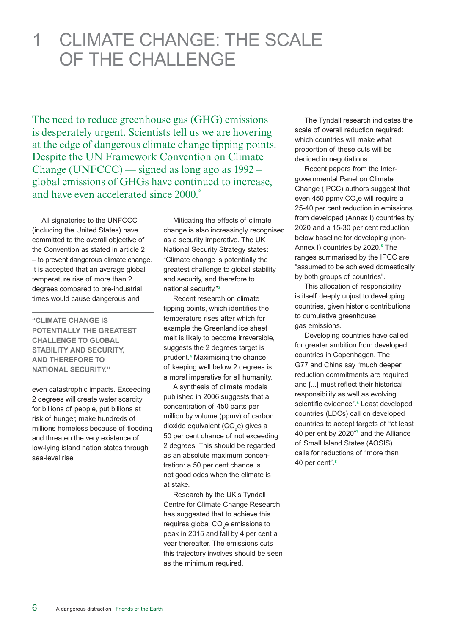### 1 Climate change: the scale of the challenge

The need to reduce greenhouse gas (GHG) emissions is desperately urgent. Scientists tell us we are hovering at the edge of dangerous climate change tipping points. Despite the UN Framework Convention on Climate Change (UNFCCC) — signed as long ago as 1992 – global emissions of GHGs have continued to increase, and have even accelerated since 2000.**<sup>2</sup>**

All signatories to the UNFCCC (including the United States) have committed to the overall objective of the Convention as stated in article 2 – to prevent dangerous climate change. It is accepted that an average global temperature rise of more than 2 degrees compared to pre-industrial times would cause dangerous and

**"Climate change is potentially the greatest challenge to global stability and security, and therefore to national security."** 

even catastrophic impacts. Exceeding 2 degrees will create water scarcity for billions of people, put billions at risk of hunger, make hundreds of millions homeless because of flooding and threaten the very existence of low-lying island nation states through sea-level rise.

Mitigating the effects of climate change is also increasingly recognised as a security imperative. The UK National Security Strategy states: "Climate change is potentially the greatest challenge to global stability and security, and therefore to national security."**<sup>3</sup>**

Recent research on climate tipping points, which identifies the temperature rises after which for example the Greenland ice sheet melt is likely to become irreversible, suggests the 2 degrees target is prudent.**<sup>4</sup>** Maximising the chance of keeping well below 2 degrees is a moral imperative for all humanity.

A synthesis of climate models published in 2006 suggests that a concentration of 450 parts per million by volume (ppmv) of carbon dioxide equivalent (CO<sub>2</sub>e) gives a 50 per cent chance of not exceeding 2 degrees. This should be regarded as an absolute maximum concentration: a 50 per cent chance is not good odds when the climate is at stake.

Research by the UK's Tyndall Centre for Climate Change Research has suggested that to achieve this requires global  $CO<sub>2</sub>e$  emissions to peak in 2015 and fall by 4 per cent a year thereafter. The emissions cuts this trajectory involves should be seen as the minimum required.

The Tyndall research indicates the scale of overall reduction required: which countries will make what proportion of these cuts will be decided in negotiations.

Recent papers from the Intergovernmental Panel on Climate Change (IPCC) authors suggest that even 450 ppmv CO<sub>2</sub>e will require a 25-40 per cent reduction in emissions from developed (Annex I) countries by 2020 and a 15-30 per cent reduction below baseline for developing (non-Annex I) countries by 2020.**<sup>5</sup>** The ranges summarised by the IPCC are "assumed to be achieved domestically by both groups of countries".

This allocation of responsibility is itself deeply unjust to developing countries, given historic contributions to cumulative greenhouse gas emissions.

Developing countries have called for greater ambition from developed countries in Copenhagen. The G77 and China say "much deeper reduction commitments are required and [...] must reflect their historical responsibility as well as evolving scientific evidence".**<sup>6</sup>** Least developed countries (LDCs) call on developed countries to accept targets of "at least 40 per ent by 2020"**<sup>7</sup>** and the Alliance of Small Island States (AOSIS) calls for reductions of "more than 40 per cent".**<sup>8</sup>**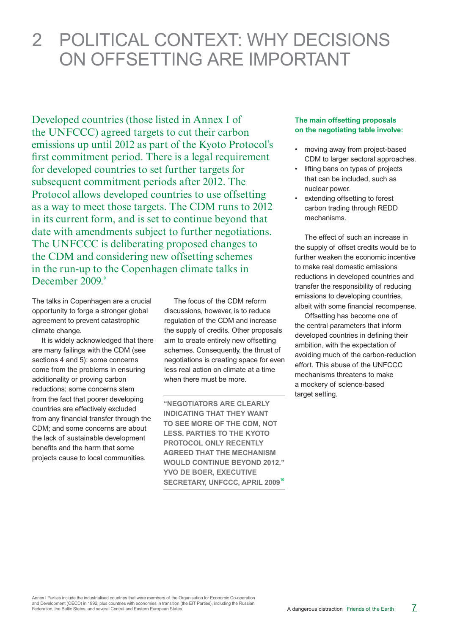## 2 political context: Why decisions on offsetting are important

Developed countries (those listed in Annex I of the UNFCCC) agreed targets to cut their carbon emissions up until 2012 as part of the Kyoto Protocol's first commitment period. There is a legal requirement for developed countries to set further targets for subsequent commitment periods after 2012. The Protocol allows developed countries to use offsetting as a way to meet those targets. The CDM runs to 2012 in its current form, and is set to continue beyond that date with amendments subject to further negotiations. The UNFCCC is deliberating proposed changes to the CDM and considering new offsetting schemes in the run-up to the Copenhagen climate talks in December 2009.<sup>9</sup>

The talks in Copenhagen are a crucial opportunity to forge a stronger global agreement to prevent catastrophic climate change.

It is widely acknowledged that there are many failings with the CDM (see sections 4 and 5): some concerns come from the problems in ensuring additionality or proving carbon reductions; some concerns stem from the fact that poorer developing countries are effectively excluded from any financial transfer through the CDM; and some concerns are about the lack of sustainable development benefits and the harm that some projects cause to local communities.

The focus of the CDM reform discussions, however, is to reduce regulation of the CDM and increase the supply of credits. Other proposals aim to create entirely new offsetting schemes. Consequently, the thrust of negotiations is creating space for even less real action on climate at a time when there must be more.

**"Negotiators are clearly indicating that they want to see more of the CDM, not less. Parties to the Kyoto Protocol only recently agreed that the mechanism would continue beyond 2012." Yvo de Boer, Executive SECRETARY, UNFCCC, APRIL 2009<sup>10</sup>** 

#### **The main offsetting proposals on the negotiating table involve:**

- moving away from project-based CDM to larger sectoral approaches.
- lifting bans on types of projects that can be included, such as nuclear power.
- extending offsetting to forest carbon trading through REDD mechanisms.

The effect of such an increase in the supply of offset credits would be to further weaken the economic incentive to make real domestic emissions reductions in developed countries and transfer the responsibility of reducing emissions to developing countries, albeit with some financial recompense.

Offsetting has become one of the central parameters that inform developed countries in defining their ambition, with the expectation of avoiding much of the carbon-reduction effort. This abuse of the UNFCCC mechanisms threatens to make a mockery of science-based target setting.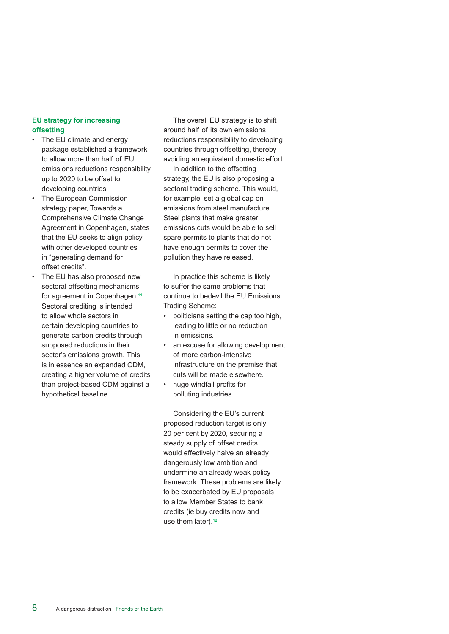#### **EU strategy for increasing offsetting**

- The EU climate and energy package established a framework to allow more than half of EU emissions reductions responsibility up to 2020 to be offset to developing countries.
- The European Commission strategy paper, Towards a Comprehensive Climate Change Agreement in Copenhagen, states that the EU seeks to align policy with other developed countries in "generating demand for offset credits".
- The EU has also proposed new sectoral offsetting mechanisms for agreement in Copenhagen.**<sup>11</sup>** Sectoral crediting is intended to allow whole sectors in certain developing countries to generate carbon credits through supposed reductions in their sector's emissions growth. This is in essence an expanded CDM, creating a higher volume of credits than project-based CDM against a hypothetical baseline.

The overall EU strategy is to shift around half of its own emissions reductions responsibility to developing countries through offsetting, thereby avoiding an equivalent domestic effort.

In addition to the offsetting strategy, the EU is also proposing a sectoral trading scheme. This would, for example, set a global cap on emissions from steel manufacture. Steel plants that make greater emissions cuts would be able to sell spare permits to plants that do not have enough permits to cover the pollution they have released.

In practice this scheme is likely to suffer the same problems that continue to bedevil the EU Emissions Trading Scheme:

- politicians setting the cap too high, leading to little or no reduction in emissions.
- an excuse for allowing development of more carbon-intensive infrastructure on the premise that cuts will be made elsewhere.
- huge windfall profits for polluting industries.

Considering the EU's current proposed reduction target is only 20 per cent by 2020, securing a steady supply of offset credits would effectively halve an already dangerously low ambition and undermine an already weak policy framework. These problems are likely to be exacerbated by EU proposals to allow Member States to bank credits (ie buy credits now and use them later).**12**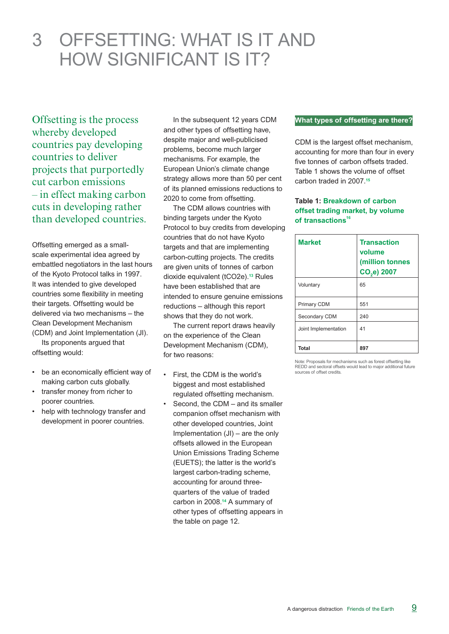## 3 Offsetting: what is it and how significant is it?

Offsetting is the process whereby developed countries pay developing countries to deliver projects that purportedly cut carbon emissions – in effect making carbon cuts in developing rather than developed countries.

Offsetting emerged as a smallscale experimental idea agreed by embattled negotiators in the last hours of the Kyoto Protocol talks in 1997. It was intended to give developed countries some flexibility in meeting their targets. Offsetting would be delivered via two mechanisms – the Clean Development Mechanism (CDM) and Joint Implementation (JI).

 Its proponents argued that offsetting would:

- • be an economically efficient way of making carbon cuts globally.
- transfer money from richer to poorer countries.
- help with technology transfer and development in poorer countries.

In the subsequent 12 years CDM and other types of offsetting have, despite major and well-publicised problems, become much larger mechanisms. For example, the European Union's climate change strategy allows more than 50 per cent of its planned emissions reductions to 2020 to come from offsetting.

The CDM allows countries with binding targets under the Kyoto Protocol to buy credits from developing countries that do not have Kyoto targets and that are implementing carbon-cutting projects. The credits are given units of tonnes of carbon dioxide equivalent (tCO2e).**<sup>13</sup>** Rules have been established that are intended to ensure genuine emissions reductions – although this report shows that they do not work.

The current report draws heavily on the experience of the Clean Development Mechanism (CDM), for two reasons:

- First, the CDM is the world's biggest and most established regulated offsetting mechanism.
- Second, the CDM  $-$  and its smaller companion offset mechanism with other developed countries, Joint Implementation (JI) – are the only offsets allowed in the European Union Emissions Trading Scheme (EUETS); the latter is the world's largest carbon-trading scheme, accounting for around threequarters of the value of traded carbon in 2008.**14** A summary of other types of offsetting appears in the table on page 12.

#### **What types of offsetting are there?**

CDM is the largest offset mechanism, accounting for more than four in every five tonnes of carbon offsets traded. Table 1 shows the volume of offset carbon traded in 2007.**<sup>15</sup>**

#### **Table 1: Breakdown of carbon offset trading market, by volume**  of transactions<sup>16</sup>

| <b>Market</b>        | <b>Transaction</b><br>volume<br>(million tonnes<br>CO <sub>2</sub> e) 2007 |
|----------------------|----------------------------------------------------------------------------|
| Voluntary            | 65                                                                         |
| Primary CDM          | 551                                                                        |
| Secondary CDM        | 240                                                                        |
| Joint Implementation | 41                                                                         |
| Total                | 897                                                                        |

Note: Proposals for mechanisms such as forest offsetting like REDD and sectoral offsets would lead to major additional future sources of offset credits.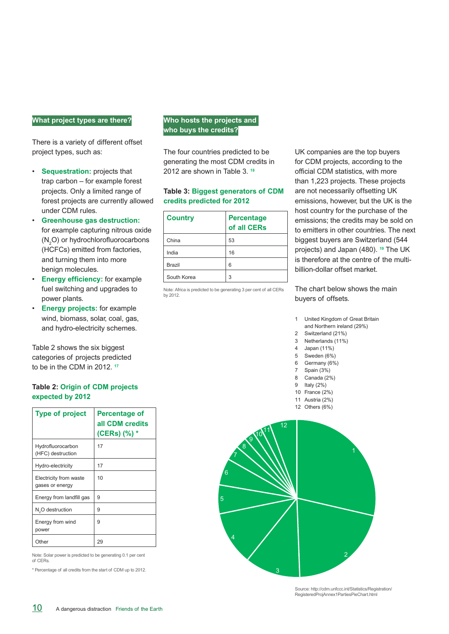#### **What project types are there?**

There is a variety of different offset project types, such as:

- **Sequestration:** projects that trap carbon – for example forest projects. Only a limited range of forest projects are currently allowed under CDM rules.
- **Greenhouse gas destruction:** for example capturing nitrous oxide  $(N_2O)$  or hydrochlorofluorocarbons (HCFCs) emitted from factories, and turning them into more benign molecules.
- **Energy efficiency:** for example fuel switching and upgrades to power plants.
- **Energy projects:** for example wind, biomass, solar, coal, gas, and hydro-electricity schemes.

Table 2 shows the six biggest categories of projects predicted to be in the CDM in 2012. **<sup>17</sup>**

#### **Table 2: Origin of CDM projects expected by 2012**

| <b>Type of project</b>                    | Percentage of<br>all CDM credits<br>(CERs) (%) * |
|-------------------------------------------|--------------------------------------------------|
| Hydrofluorocarbon<br>(HFC) destruction    | 17                                               |
| Hydro-electricity                         | 17                                               |
| Electricity from waste<br>gases or energy | 10                                               |
| Energy from landfill gas                  | 9                                                |
| N <sub>2</sub> O destruction              | 9                                                |
| Energy from wind<br>power                 | 9                                                |
| Other                                     | 29                                               |

Note: Solar power is predicted to be generating 0.1 per cent of CERs.

\* Percentage of all credits from the start of CDM up to 2012.

#### **Who hosts the projects and who buys the credits?**

The four countries predicted to be generating the most CDM credits in 2012 are shown in Table 3. **<sup>18</sup>**

#### **Table 3: Biggest generators of CDM credits predicted for 2012**

| <b>Country</b> | <b>Percentage</b><br>of all CERs |
|----------------|----------------------------------|
| China          | 53                               |
| India          | 16                               |
| Brazil         | 6                                |
| South Korea    | 3                                |

Note: Africa is predicted to be generating 3 per cent of all CERs by 2012.

UK companies are the top buyers for CDM projects, according to the official CDM statistics, with more than 1,223 projects. These projects are not necessarily offsetting UK emissions, however, but the UK is the host country for the purchase of the emissions; the credits may be sold on to emitters in other countries. The next biggest buyers are Switzerland (544 projects) and Japan (480). **<sup>19</sup>** The UK is therefore at the centre of the multibillion-dollar offset market.

The chart below shows the main buyers of offsets.

- 1 United Kingdom of Great Britain
- and Northern ireland (29%)
- 2 Switzerland (21%) 3 Netherlands (11%)
- 4 Japan (11%)
- 5 Sweden (6%)
- 6 Germany (6%)
- 7 Spain (3%)
- 8 Canada (2%)
- 9 Italy (2%)
- 10 France (2%)
- 11 Austria (2%) 12 Others (6%)



Source: http://cdm.unfccc.int/Statistics/Registration/ RegisteredProjAnnex1PartiesPieChart.html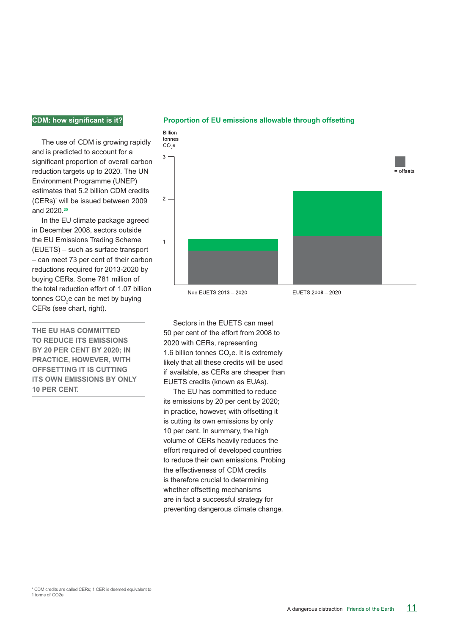#### **CDM: how significant is it?**

The use of CDM is growing rapidly and is predicted to account for a significant proportion of overall carbon reduction targets up to 2020. The UN Environment Programme (UNEP) estimates that 5.2 billion CDM credits (CERs)\* will be issued between 2009 and 2020.**<sup>20</sup>**

In the EU climate package agreed in December 2008, sectors outside the EU Emissions Trading Scheme (EUETS) – such as surface transport – can meet 73 per cent of their carbon reductions required for 2013-2020 by buying CERs. Some 781 million of the total reduction effort of 1.07 billion tonnes CO<sub>2</sub>e can be met by buying CERs (see chart, right).

**The EU has committed to reduce its emissions by 20 per cent by 2020; in practice, however, with offsetting it is cutting its own emissions by only 10 per cent.**



#### **Proportion of EU emissions allowable through offsetting**

Non EUETS 2013 - 2020

EUETS 2008 - 2020

Sectors in the EUETS can meet 50 per cent of the effort from 2008 to 2020 with CERs, representing 1.6 billion tonnes  $CO<sub>2</sub>e$ . It is extremely likely that all these credits will be used if available, as CERs are cheaper than EUETS credits (known as EUAs).

The EU has committed to reduce its emissions by 20 per cent by 2020; in practice, however, with offsetting it is cutting its own emissions by only 10 per cent. In summary, the high volume of CERs heavily reduces the effort required of developed countries to reduce their own emissions. Probing the effectiveness of CDM credits is therefore crucial to determining whether offsetting mechanisms are in fact a successful strategy for preventing dangerous climate change.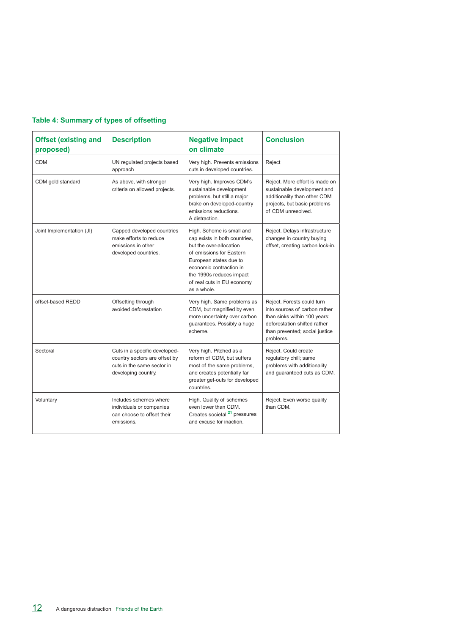#### **Table 4: Summary of types of offsetting**

| <b>Offset (existing and</b><br>proposed) | <b>Description</b>                                                                                                  | <b>Negative impact</b><br>on climate                                                                                                                                                                                                            | <b>Conclusion</b>                                                                                                                                                          |  |
|------------------------------------------|---------------------------------------------------------------------------------------------------------------------|-------------------------------------------------------------------------------------------------------------------------------------------------------------------------------------------------------------------------------------------------|----------------------------------------------------------------------------------------------------------------------------------------------------------------------------|--|
| <b>CDM</b>                               | UN regulated projects based<br>approach                                                                             | Very high. Prevents emissions<br>cuts in developed countries.                                                                                                                                                                                   | Reject                                                                                                                                                                     |  |
| CDM gold standard                        | As above, with stronger<br>criteria on allowed projects.                                                            | Very high. Improves CDM's<br>sustainable development<br>problems, but still a major<br>brake on developed-country<br>emissions reductions.<br>A distraction.                                                                                    | Reject. More effort is made on<br>sustainable development and<br>additionality than other CDM<br>projects, but basic problems<br>of CDM unresolved.                        |  |
| Joint Implementation (JI)                | Capped developed countries<br>make efforts to reduce<br>emissions in other<br>developed countries.                  | High. Scheme is small and<br>cap exists in both countries,<br>but the over-allocation<br>of emissions for Eastern<br>European states due to<br>economic contraction in<br>the 1990s reduces impact<br>of real cuts in EU economy<br>as a whole. | Reject. Delays infrastructure<br>changes in country buying<br>offset, creating carbon lock-in.                                                                             |  |
| offset-based REDD                        | Offsetting through<br>avoided deforestation                                                                         | Very high. Same problems as<br>CDM, but magnified by even<br>more uncertainty over carbon<br>guarantees. Possibly a huge<br>scheme.                                                                                                             | Reject. Forests could turn<br>into sources of carbon rather<br>than sinks within 100 years;<br>deforestation shifted rather<br>than prevented; social justice<br>problems. |  |
| Sectoral                                 | Cuts in a specific developed-<br>country sectors are offset by<br>cuts in the same sector in<br>developing country. | Very high. Pitched as a<br>reform of CDM, but suffers<br>most of the same problems.<br>and creates potentially far<br>greater get-outs for developed<br>countries.                                                                              | Reject. Could create<br>regulatory chill; same<br>problems with additionality<br>and quaranteed cuts as CDM.                                                               |  |
| Voluntary                                | Includes schemes where<br>individuals or companies<br>can choose to offset their<br>emissions.                      | High. Quality of schemes<br>even lower than CDM.<br>Creates societal <sup>21</sup> pressures<br>and excuse for inaction                                                                                                                         | Reject. Even worse quality<br>than CDM.                                                                                                                                    |  |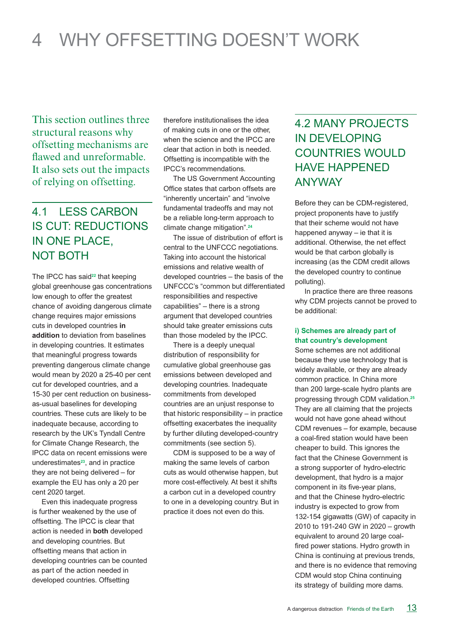## 4 Why offsetting doesn't work

This section outlines three structural reasons why offsetting mechanisms are flawed and unreformable. It also sets out the impacts of relying on offsetting.

### 4.1 LESS CARBON is Cut: REDUCTIONS IN ONE place, NOT BOTH

The IPCC has said<sup>22</sup> that keeping global greenhouse gas concentrations low enough to offer the greatest chance of avoiding dangerous climate change requires major emissions cuts in developed countries **in addition** to deviation from baselines in developing countries. It estimates that meaningful progress towards preventing dangerous climate change would mean by 2020 a 25-40 per cent cut for developed countries, and a 15-30 per cent reduction on businessas-usual baselines for developing countries. These cuts are likely to be inadequate because, according to research by the UK's Tyndall Centre for Climate Change Research, the IPCC data on recent emissions were underestimates**23**, and in practice they are not being delivered – for example the EU has only a 20 per cent 2020 target.

Even this inadequate progress is further weakened by the use of offsetting. The IPCC is clear that action is needed in **both** developed and developing countries. But offsetting means that action in developing countries can be counted as part of the action needed in developed countries. Offsetting

therefore institutionalises the idea of making cuts in one or the other, when the science and the IPCC are clear that action in both is needed. Offsetting is incompatible with the IPCC's recommendations.

The US Government Accounting Office states that carbon offsets are "inherently uncertain" and "involve fundamental tradeoffs and may not be a reliable long-term approach to climate change mitigation".**<sup>24</sup>**

The issue of distribution of effort is central to the UNFCCC negotiations. Taking into account the historical emissions and relative wealth of developed countries – the basis of the UNFCCC's "common but differentiated responsibilities and respective capabilities" – there is a strong argument that developed countries should take greater emissions cuts than those modeled by the IPCC.

There is a deeply unequal distribution of responsibility for cumulative global greenhouse gas emissions between developed and developing countries. Inadequate commitments from developed countries are an unjust response to that historic responsibility – in practice offsetting exacerbates the inequality by further diluting developed-country commitments (see section 5).

CDM is supposed to be a way of making the same levels of carbon cuts as would otherwise happen, but more cost-effectively. At best it shifts a carbon cut in a developed country to one in a developing country. But in practice it does not even do this.

### 4.2 Many projects in developing countries would have happened anyway

Before they can be CDM-registered, project proponents have to justify that their scheme would not have happened anyway – ie that it is additional. Otherwise, the net effect would be that carbon globally is increasing (as the CDM credit allows the developed country to continue polluting).

In practice there are three reasons why CDM projects cannot be proved to be additional:

#### **i) Schemes are already part of that country's development**

Some schemes are not additional because they use technology that is widely available, or they are already common practice. In China more than 200 large-scale hydro plants are progressing through CDM validation.**<sup>25</sup>** They are all claiming that the projects would not have gone ahead without CDM revenues – for example, because a coal-fired station would have been cheaper to build. This ignores the fact that the Chinese Government is a strong supporter of hydro-electric development, that hydro is a major component in its five-year plans, and that the Chinese hydro-electric industry is expected to grow from 132-154 gigawatts (GW) of capacity in 2010 to 191-240 GW in 2020 – growth equivalent to around 20 large coalfired power stations. Hydro growth in China is continuing at previous trends, and there is no evidence that removing CDM would stop China continuing its strategy of building more dams.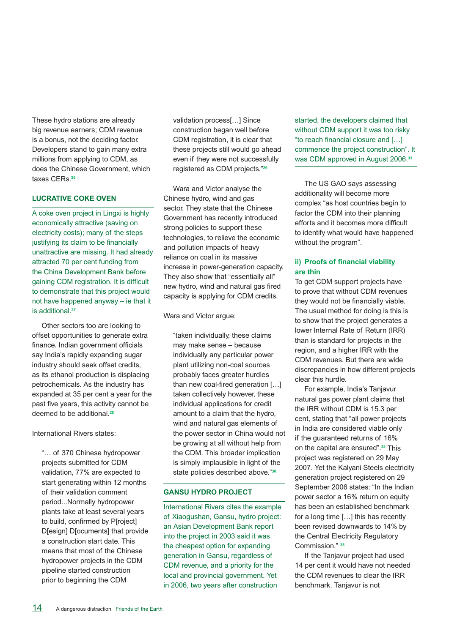These hydro stations are already big revenue earners; CDM revenue is a bonus, not the deciding factor. Developers stand to gain many extra millions from applying to CDM, as does the Chinese Government, which taxes CERs.**<sup>26</sup>**

#### **Lucrative coke oven**

A coke oven project in Lingxi is highly economically attractive (saving on electricity costs); many of the steps justifying its claim to be financially unattractive are missing. It had already attracted 70 per cent funding from the China Development Bank before gaining CDM registration. It is difficult to demonstrate that this project would not have happened anyway – ie that it is additional.**<sup>27</sup>**

Other sectors too are looking to offset opportunities to generate extra finance. Indian government officials say India's rapidly expanding sugar industry should seek offset credits, as its ethanol production is displacing petrochemicals. As the industry has expanded at 35 per cent a year for the past five years, this activity cannot be deemed to be additional.**<sup>28</sup>**

International Rivers states:

"… of 370 Chinese hydropower projects submitted for CDM validation, 77% are expected to start generating within 12 months of their validation comment period...Normally hydropower plants take at least several years to build, confirmed by P[roject] D[esign] D[ocuments] that provide a construction start date. This means that most of the Chinese hydropower projects in the CDM pipeline started construction prior to beginning the CDM

validation process[…] Since construction began well before CDM registration, it is clear that these projects still would go ahead even if they were not successfully registered as CDM projects."**<sup>29</sup>**

Wara and Victor analyse the Chinese hydro, wind and gas sector. They state that the Chinese Government has recently introduced strong policies to support these technologies, to relieve the economic and pollution impacts of heavy reliance on coal in its massive increase in power-generation capacity. They also show that "essentially all" new hydro, wind and natural gas fired capacity is applying for CDM credits.

Wara and Victor argue:

"taken individually, these claims may make sense – because individually any particular power plant utilizing non-coal sources probably faces greater hurdles than new coal-fired generation […] taken collectively however, these individual applications for credit amount to a claim that the hydro, wind and natural gas elements of the power sector in China would not be growing at all without help from the CDM. This broader implication is simply implausible in light of the state policies described above."**<sup>30</sup>**

#### **Gansu hydro project**

International Rivers cites the example of Xiaogushan, Gansu, hydro project: an Asian Development Bank report into the project in 2003 said it was the cheapest option for expanding generation in Gansu, regardless of CDM revenue, and a priority for the local and provincial government. Yet in 2006, two years after construction

started, the developers claimed that without CDM support it was too risky "to reach financial closure and […] commence the project construction". It was CDM approved in August 2006.**<sup>31</sup>**

The US GAO says assessing additionality will become more complex "as host countries begin to factor the CDM into their planning efforts and it becomes more difficult to identify what would have happened without the program".

#### **ii) Proofs of financial viability are thin**

To get CDM support projects have to prove that without CDM revenues they would not be financially viable. The usual method for doing is this is to show that the project generates a lower Internal Rate of Return (IRR) than is standard for projects in the region, and a higher IRR with the CDM revenues. But there are wide discrepancies in how different projects clear this hurdle.

For example, India's Tanjavur natural gas power plant claims that the IRR without CDM is 15.3 per cent, stating that "all power projects in India are considered viable only if the guaranteed returns of 16% on the capital are ensured".**<sup>32</sup>** This project was registered on 29 May 2007. Yet the Kalyani Steels electricity generation project registered on 29 September 2006 states: "In the Indian power sector a 16% return on equity has been an established benchmark for a long time […] this has recently been revised downwards to 14% by the Central Electricity Regulatory Commission." **<sup>33</sup>**

If the Tanjavur project had used 14 per cent it would have not needed the CDM revenues to clear the IRR benchmark. Tanjavur is not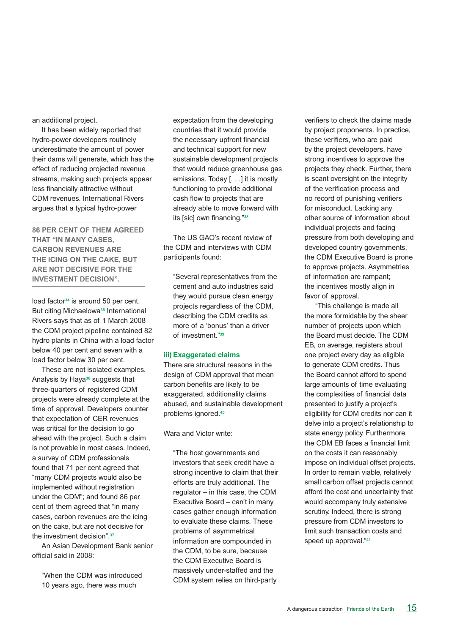an additional project.

It has been widely reported that hydro-power developers routinely underestimate the amount of power their dams will generate, which has the effect of reducing projected revenue streams, making such projects appear less financially attractive without CDM revenues. International Rivers argues that a typical hydro-power

**86 per cent of them agreed that "in many cases, carbon revenues are the icing on the cake, but are not decisive for the investment decision".** 

load factor**34** is around 50 per cent. But citing Michaelowa**<sup>35</sup>** International Rivers says that as of 1 March 2008 the CDM project pipeline contained 82 hydro plants in China with a load factor below 40 per cent and seven with a load factor below 30 per cent.

These are not isolated examples. Analysis by Haya**36** suggests that three-quarters of registered CDM projects were already complete at the time of approval. Developers counter that expectation of CER revenues was critical for the decision to go ahead with the project. Such a claim is not provable in most cases. Indeed, a survey of CDM professionals found that 71 per cent agreed that "many CDM projects would also be implemented without registration under the CDM"; and found 86 per cent of them agreed that "in many cases, carbon revenues are the icing on the cake, but are not decisive for the investment decision".**<sup>37</sup>**

An Asian Development Bank senior official said in 2008:

"When the CDM was introduced 10 years ago, there was much

expectation from the developing countries that it would provide the necessary upfront financial and technical support for new sustainable development projects that would reduce greenhouse gas emissions. Today [. . .] it is mostly functioning to provide additional cash flow to projects that are already able to move forward with its [sic] own financing."**<sup>38</sup>**

The US GAO's recent review of the CDM and interviews with CDM participants found:

"Several representatives from the cement and auto industries said they would pursue clean energy projects regardless of the CDM, describing the CDM credits as more of a 'bonus' than a driver of investment."**<sup>39</sup>**

#### **iii) Exaggerated claims**

There are structural reasons in the design of CDM approval that mean carbon benefits are likely to be exaggerated, additionality claims abused, and sustainable development problems ignored.**<sup>40</sup>**

Wara and Victor write:

"The host governments and investors that seek credit have a strong incentive to claim that their efforts are truly additional. The regulator – in this case, the CDM Executive Board – can't in many cases gather enough information to evaluate these claims. These problems of asymmetrical information are compounded in the CDM, to be sure, because the CDM Executive Board is massively under-staffed and the CDM system relies on third-party

verifiers to check the claims made by project proponents. In practice, these verifiers, who are paid by the project developers, have strong incentives to approve the projects they check. Further, there is scant oversight on the integrity of the verification process and no record of punishing verifiers for misconduct. Lacking any other source of information about individual projects and facing pressure from both developing and developed country governments. the CDM Executive Board is prone to approve projects. Asymmetries of information are rampant; the incentives mostly align in favor of approval.

 "This challenge is made all the more formidable by the sheer number of projects upon which the Board must decide. The CDM EB, on average, registers about one project every day as eligible to generate CDM credits. Thus the Board cannot afford to spend large amounts of time evaluating the complexities of financial data presented to justify a project's eligibility for CDM credits nor can it delve into a project's relationship to state energy policy. Furthermore, the CDM EB faces a financial limit on the costs it can reasonably impose on individual offset projects. In order to remain viable, relatively small carbon offset projects cannot afford the cost and uncertainty that would accompany truly extensive scrutiny. Indeed, there is strong pressure from CDM investors to limit such transaction costs and speed up approval."**<sup>41</sup>**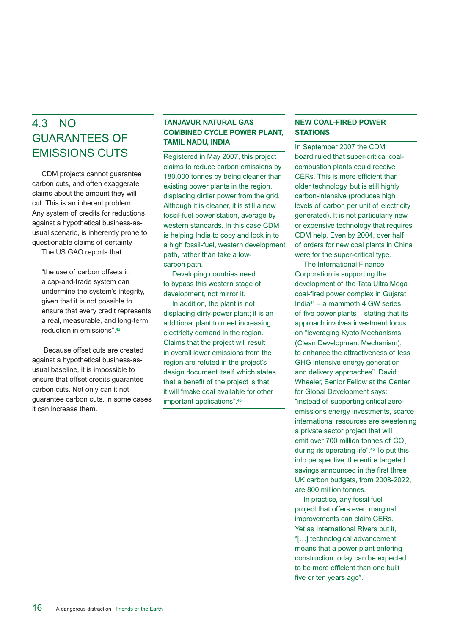### 4.3 No guarantees of emissions cuts

CDM projects cannot guarantee carbon cuts, and often exaggerate claims about the amount they will cut. This is an inherent problem. Any system of credits for reductions against a hypothetical business-asusual scenario, is inherently prone to questionable claims of certainty.

The US GAO reports that

"the use of carbon offsets in a cap-and-trade system can undermine the system's integrity, given that it is not possible to ensure that every credit represents a real, measurable, and long-term reduction in emissions".**<sup>42</sup>**

 Because offset cuts are created against a hypothetical business-asusual baseline, it is impossible to ensure that offset credits guarantee carbon cuts. Not only can it not guarantee carbon cuts, in some cases it can increase them.

#### **Tanjavur Natural Gas Combined Cycle Power Plant, Tamil Nadu, India**

Registered in May 2007, this project claims to reduce carbon emissions by 180,000 tonnes by being cleaner than existing power plants in the region, displacing dirtier power from the grid. Although it is cleaner, it is still a new fossil-fuel power station, average by western standards. In this case CDM is helping India to copy and lock in to a high fossil-fuel, western development path, rather than take a lowcarbon path.

 Developing countries need to bypass this western stage of development, not mirror it.

 In addition, the plant is not displacing dirty power plant; it is an additional plant to meet increasing electricity demand in the region. Claims that the project will result in overall lower emissions from the region are refuted in the project's design document itself which states that a benefit of the project is that it will "make coal available for other important applications".**<sup>43</sup>**

#### **New coal-fired power STATIONS**

In September 2007 the CDM board ruled that super-critical coalcombustion plants could receive CERs. This is more efficient than older technology, but is still highly carbon-intensive (produces high levels of carbon per unit of electricity generated). It is not particularly new or expensive technology that requires CDM help. Even by 2004, over half of orders for new coal plants in China were for the super-critical type.

 The International Finance Corporation is supporting the development of the Tata Ultra Mega coal-fired power complex in Gujarat India**44** – a mammoth 4 GW series of five power plants – stating that its approach involves investment focus on "leveraging Kyoto Mechanisms (Clean Development Mechanism), to enhance the attractiveness of less GHG intensive energy generation and delivery approaches". David Wheeler, Senior Fellow at the Center for Global Development says: "instead of supporting critical zeroemissions energy investments, scarce international resources are sweetening a private sector project that will emit over 700 million tonnes of CO<sub>2</sub> during its operating life".**<sup>45</sup>** To put this into perspective, the entire targeted savings announced in the first three UK carbon budgets, from 2008-2022, are 800 million tonnes.

 In practice, any fossil fuel project that offers even marginal improvements can claim CERs. Yet as International Rivers put it, "[…] technological advancement means that a power plant entering construction today can be expected to be more efficient than one built five or ten years ago".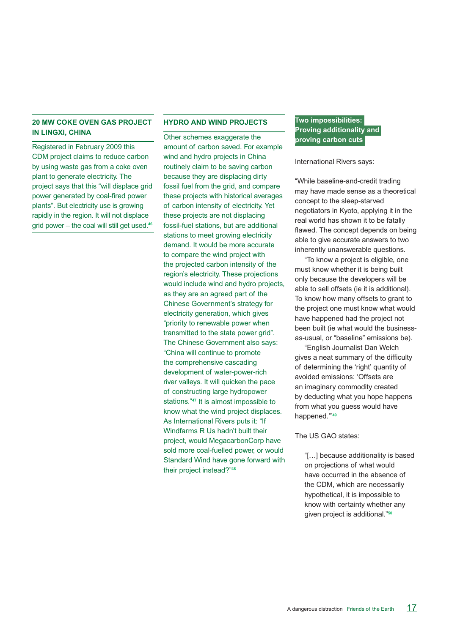#### **20 MW coke oven gas project in Lingxi, China**

Registered in February 2009 this CDM project claims to reduce carbon by using waste gas from a coke oven plant to generate electricity. The project says that this "will displace grid power generated by coal-fired power plants". But electricity use is growing rapidly in the region. It will not displace grid power – the coal will still get used.**<sup>46</sup>**

#### **Hydro and wind projects**

Other schemes exaggerate the amount of carbon saved. For example wind and hydro projects in China routinely claim to be saving carbon because they are displacing dirty fossil fuel from the grid, and compare these projects with historical averages of carbon intensity of electricity. Yet these projects are not displacing fossil-fuel stations, but are additional stations to meet growing electricity demand. It would be more accurate to compare the wind project with the projected carbon intensity of the region's electricity. These projections would include wind and hydro projects, as they are an agreed part of the Chinese Government's strategy for electricity generation, which gives "priority to renewable power when transmitted to the state power grid". The Chinese Government also says: "China will continue to promote the comprehensive cascading development of water-power-rich river valleys. It will quicken the pace of constructing large hydropower stations."**<sup>47</sup>** It is almost impossible to know what the wind project displaces. As International Rivers puts it: "If Windfarms R Us hadn't built their project, would MegacarbonCorp have sold more coal-fuelled power, or would Standard Wind have gone forward with their project instead?"**<sup>48</sup>**

#### **Two impossibilities: Proving additionality and proving carbon cuts**

International Rivers says:

"While baseline-and-credit trading may have made sense as a theoretical concept to the sleep-starved negotiators in Kyoto, applying it in the real world has shown it to be fatally flawed. The concept depends on being able to give accurate answers to two inherently unanswerable questions.

"To know a project is eligible, one must know whether it is being built only because the developers will be able to sell offsets (ie it is additional). To know how many offsets to grant to the project one must know what would have happened had the project not been built (ie what would the businessas-usual, or "baseline" emissions be).

"English Journalist Dan Welch gives a neat summary of the difficulty of determining the 'right' quantity of avoided emissions: 'Offsets are an imaginary commodity created by deducting what you hope happens from what you guess would have happened.'"**<sup>49</sup>**

The US GAO states:

"[…] because additionality is based on projections of what would have occurred in the absence of the CDM, which are necessarily hypothetical, it is impossible to know with certainty whether any given project is additional."**50**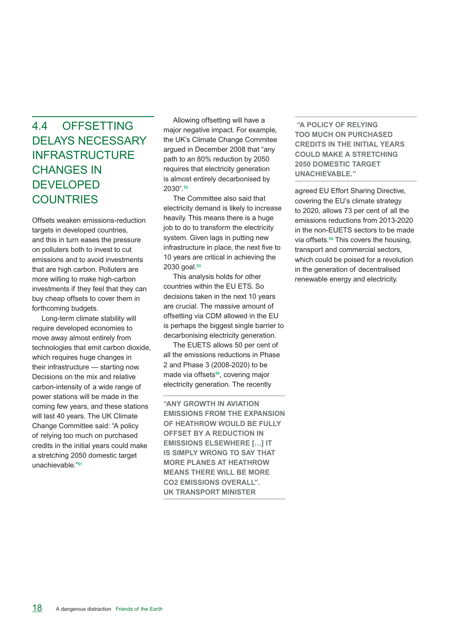### 4.4 Offsetting delays necessary **INFRASTRUCTURE CHANGES IN DEVELOPED COUNTRIES**

Offsets weaken emissions-reduction targets in developed countries, and this in turn eases the pressure on polluters both to invest to cut emissions and to avoid investments that are high carbon. Polluters are more willing to make high-carbon investments if they feel that they can buy cheap offsets to cover them in forthcoming budgets.

Long-term climate stability will require developed economies to move away almost entirely from technologies that emit carbon dioxide, which requires huge changes in their infrastructure — starting now. Decisions on the mix and relative carbon-intensity of a wide range of power stations will be made in the coming few years, and these stations will last 40 years. The UK Climate Change Committee said: "A policy of relying too much on purchased credits in the initial years could make a stretching 2050 domestic target unachievable."**<sup>51</sup>**

Allowing offsetting will have a major negative impact. For example, the UK's Climate Change Commitee argued in December 2008 that "any path to an 80% reduction by 2050 requires that electricity generation is almost entirely decarbonised by 2030".**<sup>52</sup>**

The Committee also said that electricity demand is likely to increase heavily. This means there is a huge job to do to transform the electricity system. Given lags in putting new infrastructure in place, the next five to 10 years are critical in achieving the 2030 goal.**<sup>53</sup>**

This analysis holds for other countries within the EU ETS. So decisions taken in the next 10 years are crucial. The massive amount of offsetting via CDM allowed in the EU is perhaps the biggest single barrier to decarbonising electricity generation.

The EUETS allows 50 per cent of all the emissions reductions in Phase 2 and Phase 3 (2008-2020) to be made via offsets**54**, covering major electricity generation. The recently

**"any growth in aviation emissions from the expansion of Heathrow would be fully offset by a reduction in emissions elsewhere […] it IS SIMPLY WRONG TO SAY THAT more planes at Heathrow means there will be more CO2 emissions overall". UK transport Minister**

 **"A policy of relying too much on purchased credits in the initial years could make a stretching 2050 domestic target unachievable."**

agreed EU Effort Sharing Directive, covering the EU's climate strategy to 2020, allows 73 per cent of all the emissions reductions from 2013-2020 in the non-EUETS sectors to be made via offsets.**<sup>55</sup>** This covers the housing, transport and commercial sectors, which could be poised for a revolution in the generation of decentralised renewable energy and electricity.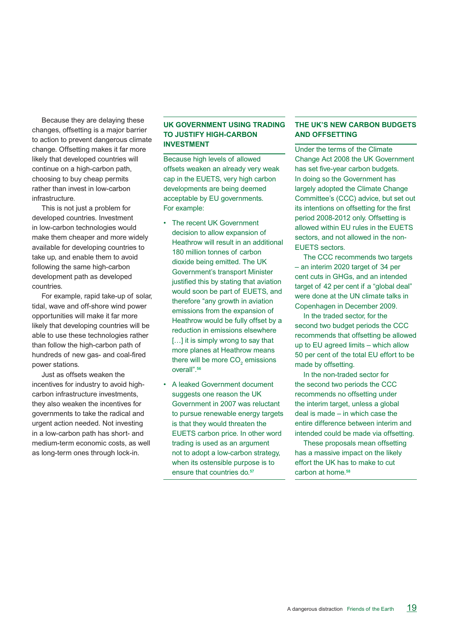Because they are delaying these changes, offsetting is a major barrier to action to prevent dangerous climate change. Offsetting makes it far more likely that developed countries will continue on a high-carbon path, choosing to buy cheap permits rather than invest in low-carbon infrastructure.

This is not just a problem for developed countries. Investment in low-carbon technologies would make them cheaper and more widely available for developing countries to take up, and enable them to avoid following the same high-carbon development path as developed countries.

For example, rapid take-up of solar, tidal, wave and off-shore wind power opportunities will make it far more likely that developing countries will be able to use these technologies rather than follow the high-carbon path of hundreds of new gas- and coal-fired power stations.

Just as offsets weaken the incentives for industry to avoid highcarbon infrastructure investments, they also weaken the incentives for governments to take the radical and urgent action needed. Not investing in a low-carbon path has short- and medium-term economic costs, as well as long-term ones through lock-in.

#### **UK Government using trading to justify high-carbon investment**

Because high levels of allowed offsets weaken an already very weak cap in the EUETS, very high carbon developments are being deemed acceptable by EU governments. For example:

- The recent UK Government decision to allow expansion of Heathrow will result in an additional 180 million tonnes of carbon dioxide being emitted. The UK Government's transport Minister justified this by stating that aviation would soon be part of EUETS, and therefore "any growth in aviation emissions from the expansion of Heathrow would be fully offset by a reduction in emissions elsewhere [...] it is simply wrong to say that more planes at Heathrow means there will be more  $\mathrm{CO}_2^{\phantom{\dag}}$  emissions overall".**<sup>56</sup>**
- • A leaked Government document suggests one reason the UK Government in 2007 was reluctant to pursue renewable energy targets is that they would threaten the EUETS carbon price. In other word trading is used as an argument not to adopt a low-carbon strategy, when its ostensible purpose is to ensure that countries do.**<sup>57</sup>**

#### **The UK's new carbon budgets and offsetting**

Under the terms of the Climate Change Act 2008 the UK Government has set five-year carbon budgets. In doing so the Government has largely adopted the Climate Change Committee's (CCC) advice, but set out its intentions on offsetting for the first period 2008-2012 only. Offsetting is allowed within EU rules in the EUETS sectors, and not allowed in the non-EUETS sectors.

 The CCC recommends two targets – an interim 2020 target of 34 per cent cuts in GHGs, and an intended target of 42 per cent if a "global deal" were done at the UN climate talks in Copenhagen in December 2009.

 In the traded sector, for the second two budget periods the CCC recommends that offsetting be allowed up to EU agreed limits – which allow 50 per cent of the total EU effort to be made by offsetting.

 In the non-traded sector for the second two periods the CCC recommends no offsetting under the interim target, unless a global deal is made – in which case the entire difference between interim and intended could be made via offsetting.

 These proposals mean offsetting has a massive impact on the likely effort the UK has to make to cut carbon at home.**58**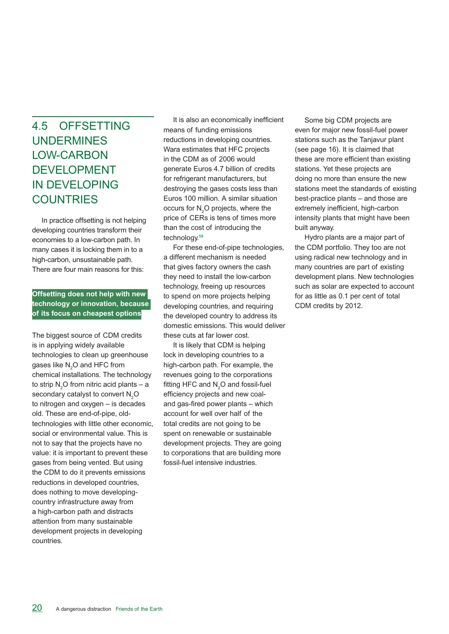### 4.5 Offsetting **UNDERMINES** low-carbon **DEVELOPMENT** in developing **COUNTRIES**

In practice offsetting is not helping developing countries transform their economies to a low-carbon path. In many cases it is locking them in to a high-carbon, unsustainable path. There are four main reasons for this:

**Offsetting does not help with new technology or innovation, because of its focus on cheapest options**

The biggest source of CDM credits is in applying widely available technologies to clean up greenhouse gases like  $\mathsf{N}_{2}\mathsf{O}$  and HFC from chemical installations. The technology to strip  $\mathsf{N}_2\mathsf{O}$  from nitric acid plants – a secondary catalyst to convert  $\mathsf{N}_{2}\mathsf{O}$ to nitrogen and oxygen – is decades old. These are end-of-pipe, oldtechnologies with little other economic, social or environmental value. This is not to say that the projects have no value: it is important to prevent these gases from being vented. But using the CDM to do it prevents emissions reductions in developed countries, does nothing to move developingcountry infrastructure away from a high-carbon path and distracts attention from many sustainable development projects in developing countries.

It is also an economically inefficient means of funding emissions reductions in developing countries. Wara estimates that HFC projects in the CDM as of 2006 would generate Euros 4.7 billion of credits for refrigerant manufacturers, but destroying the gases costs less than Euros 100 million. A similar situation occurs for  $N_2O$  projects, where the price of CERs is tens of times more than the cost of introducing the technology.**<sup>59</sup>**

For these end-of-pipe technologies, a different mechanism is needed that gives factory owners the cash they need to install the low-carbon technology, freeing up resources to spend on more projects helping developing countries, and requiring the developed country to address its domestic emissions. This would deliver these cuts at far lower cost.

It is likely that CDM is helping lock in developing countries to a high-carbon path. For example, the revenues going to the corporations fitting HFC and  $N_2O$  and fossil-fuel efficiency projects and new coaland gas-fired power plants – which account for well over half of the total credits are not going to be spent on renewable or sustainable development projects. They are going to corporations that are building more fossil-fuel intensive industries.

Some big CDM projects are even for major new fossil-fuel power stations such as the Tanjavur plant (see page 16). It is claimed that these are more efficient than existing stations. Yet these projects are doing no more than ensure the new stations meet the standards of existing best-practice plants – and those are extremely inefficient, high-carbon intensity plants that might have been built anyway.

Hydro plants are a major part of the CDM portfolio. They too are not using radical new technology and in many countries are part of existing development plans. New technologies such as solar are expected to account for as little as 0.1 per cent of total CDM credits by 2012.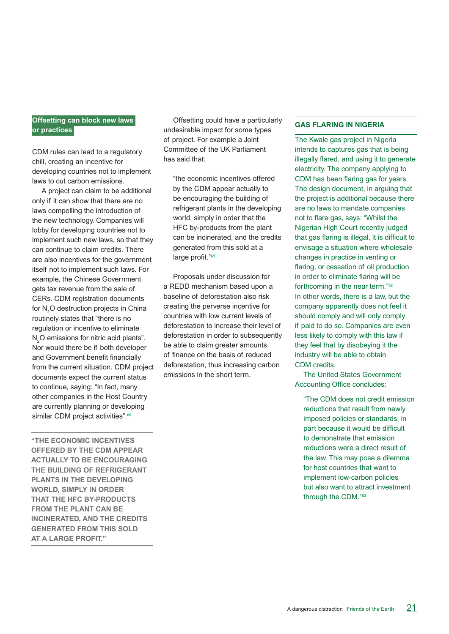#### **Offsetting can block new laws or practices**

CDM rules can lead to a regulatory chill, creating an incentive for developing countries not to implement laws to cut carbon emissions.

A project can claim to be additional only if it can show that there are no laws compelling the introduction of the new technology. Companies will lobby for developing countries not to implement such new laws, so that they can continue to claim credits. There are also incentives for the government itself not to implement such laws. For example, the Chinese Government gets tax revenue from the sale of CERs. CDM registration documents for  $\mathsf{N}_2\mathsf{O}$  destruction projects in China routinely states that "there is no regulation or incentive to eliminate  $N_{2}$ O emissions for nitric acid plants". Nor would there be if both developer and Government benefit financially from the current situation. CDM project documents expect the current status to continue, saying: "In fact, many other companies in the Host Country are currently planning or developing similar CDM project activities".**<sup>60</sup>**

**"the economic incentives offered by the CDM appear actually to be encouraging the building of refrigerant plants in the developing world, simply in order that the HFC by-products FROM THE PLANT CAN BE incinerated, and the credits generated from this sold at a large profit."** 

Offsetting could have a particularly undesirable impact for some types of project. For example a Joint Committee of the UK Parliament has said that:

"the economic incentives offered by the CDM appear actually to be encouraging the building of refrigerant plants in the developing world, simply in order that the HFC by-products from the plant can be incinerated, and the credits generated from this sold at a large profit."**<sup>61</sup>**

Proposals under discussion for a REDD mechanism based upon a baseline of deforestation also risk creating the perverse incentive for countries with low current levels of deforestation to increase their level of deforestation in order to subsequently be able to claim greater amounts of finance on the basis of reduced deforestation, thus increasing carbon emissions in the short term.

#### **Gas flaring in Nigeria**

The Kwale gas project in Nigeria intends to captures gas that is being illegally flared, and using it to generate electricity. The company applying to CDM has been flaring gas for years. The design document, in arguing that the project is additional because there are no laws to mandate companies not to flare gas, says: "Whilst the Nigerian High Court recently judged that gas flaring is illegal, it is difficult to envisage a situation where wholesale changes in practice in venting or flaring, or cessation of oil production in order to eliminate flaring will be forthcoming in the near term."**<sup>62</sup>** In other words, there is a law, but the company apparently does not feel it should comply and will only comply if paid to do so. Companies are even less likely to comply with this law if they feel that by disobeying it the industry will be able to obtain CDM credits.

 The United States Government Accounting Office concludes:

"The CDM does not credit emission reductions that result from newly imposed policies or standards, in part because it would be difficult to demonstrate that emission reductions were a direct result of the law. This may pose a dilemma for host countries that want to implement low-carbon policies but also want to attract investment through the CDM."**63**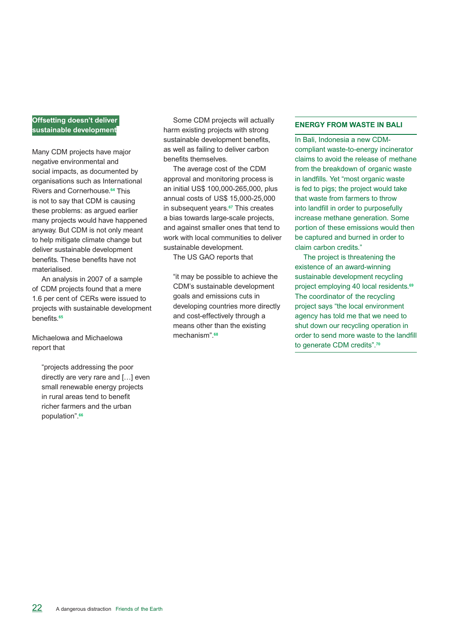#### **Offsetting doesn't deliver sustainable development**

Many CDM projects have major negative environmental and social impacts, as documented by organisations such as International Rivers and Cornerhouse.**<sup>64</sup>** This is not to say that CDM is causing these problems: as argued earlier many projects would have happened anyway. But CDM is not only meant to help mitigate climate change but deliver sustainable development benefits. These benefits have not materialised.

An analysis in 2007 of a sample of CDM projects found that a mere 1.6 per cent of CERs were issued to projects with sustainable development benefits.**<sup>65</sup>**

Michaelowa and Michaelowa report that

> "projects addressing the poor directly are very rare and […] even small renewable energy projects in rural areas tend to benefit richer farmers and the urban population".**<sup>66</sup>**

Some CDM projects will actually harm existing projects with strong sustainable development benefits, as well as failing to deliver carbon benefits themselves.

The average cost of the CDM approval and monitoring process is an initial US\$ 100,000-265,000, plus annual costs of US\$ 15,000-25,000 in subsequent years.**<sup>67</sup>** This creates a bias towards large-scale projects, and against smaller ones that tend to work with local communities to deliver sustainable development.

The US GAO reports that

"it may be possible to achieve the CDM's sustainable development goals and emissions cuts in developing countries more directly and cost-effectively through a means other than the existing mechanism".**68**

#### **Energy from waste in Bali**

In Bali, Indonesia a new CDMcompliant waste-to-energy incinerator claims to avoid the release of methane from the breakdown of organic waste in landfills. Yet "most organic waste is fed to pigs; the project would take that waste from farmers to throw into landfill in order to purposefully increase methane generation. Some portion of these emissions would then be captured and burned in order to claim carbon credits."

 The project is threatening the existence of an award-winning sustainable development recycling project employing 40 local residents.**<sup>69</sup>** The coordinator of the recycling project says "the local environment agency has told me that we need to shut down our recycling operation in order to send more waste to the landfill to generate CDM credits".**<sup>70</sup>**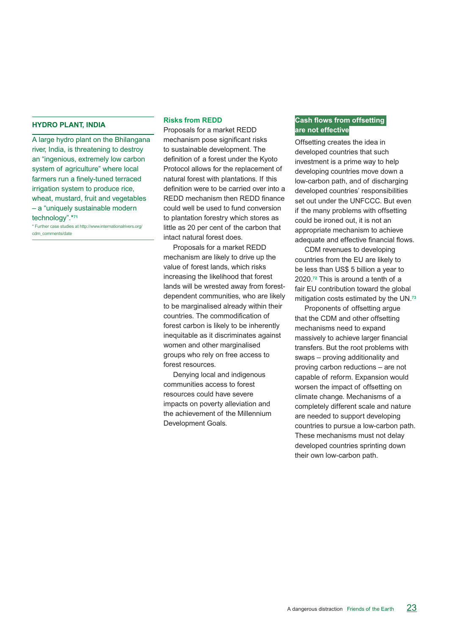#### **Hydro plant, India**

A large hydro plant on the Bhilangana river, India, is threatening to destroy an "ingenious, extremely low carbon system of agriculture" where local farmers run a finely-tuned terraced irrigation system to produce rice, wheat, mustard, fruit and vegetables – a "uniquely sustainable modern technology".\***<sup>71</sup>**

\* Further case studies at http://www.internationalrivers.org/ cdm\_comments/date

#### **Risks from REDD**

Proposals for a market REDD mechanism pose significant risks to sustainable development. The definition of a forest under the Kyoto Protocol allows for the replacement of natural forest with plantations. If this definition were to be carried over into a REDD mechanism then REDD finance could well be used to fund conversion to plantation forestry which stores as little as 20 per cent of the carbon that intact natural forest does.

Proposals for a market REDD mechanism are likely to drive up the value of forest lands, which risks increasing the likelihood that forest lands will be wrested away from forestdependent communities, who are likely to be marginalised already within their countries. The commodification of forest carbon is likely to be inherently inequitable as it discriminates against women and other marginalised groups who rely on free access to forest resources.

Denying local and indigenous communities access to forest resources could have severe impacts on poverty alleviation and the achievement of the Millennium Development Goals.

#### **Cash flows from offsetting are not effective**

Offsetting creates the idea in developed countries that such investment is a prime way to help developing countries move down a low-carbon path, and of discharging developed countries' responsibilities set out under the UNFCCC. But even if the many problems with offsetting could be ironed out, it is not an appropriate mechanism to achieve adequate and effective financial flows.

CDM revenues to developing countries from the EU are likely to be less than US\$ 5 billion a year to 2020.**<sup>72</sup>** This is around a tenth of a fair EU contribution toward the global mitigation costs estimated by the UN. **73**

Proponents of offsetting argue that the CDM and other offsetting mechanisms need to expand massively to achieve larger financial transfers. But the root problems with swaps – proving additionality and proving carbon reductions – are not capable of reform. Expansion would worsen the impact of offsetting on climate change. Mechanisms of a completely different scale and nature are needed to support developing countries to pursue a low-carbon path. These mechanisms must not delay developed countries sprinting down their own low-carbon path.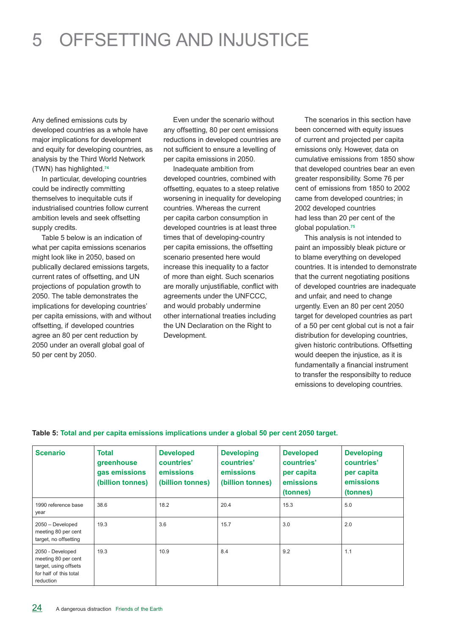## 5 offsetting and INjustice

Any defined emissions cuts by developed countries as a whole have major implications for development and equity for developing countries, as analysis by the Third World Network (TWN) has highlighted.**<sup>74</sup>**

In particular, developing countries could be indirectly committing themselves to inequitable cuts if industrialised countries follow current ambition levels and seek offsetting supply credits.

Table 5 below is an indication of what per capita emissions scenarios might look like in 2050, based on publically declared emissions targets, current rates of offsetting, and UN projections of population growth to 2050. The table demonstrates the implications for developing countries' per capita emissions, with and without offsetting, if developed countries agree an 80 per cent reduction by 2050 under an overall global goal of 50 per cent by 2050.

Even under the scenario without any offsetting, 80 per cent emissions reductions in developed countries are not sufficient to ensure a levelling of per capita emissions in 2050.

Inadequate ambition from developed countries, combined with offsetting, equates to a steep relative worsening in inequality for developing countries. Whereas the current per capita carbon consumption in developed countries is at least three times that of developing-country per capita emissions, the offsetting scenario presented here would increase this inequality to a factor of more than eight. Such scenarios are morally unjustifiable, conflict with agreements under the UNFCCC, and would probably undermine other international treaties including the UN Declaration on the Right to Development.

The scenarios in this section have been concerned with equity issues of current and projected per capita emissions only. However, data on cumulative emissions from 1850 show that developed countries bear an even greater responsibility. Some 76 per cent of emissions from 1850 to 2002 came from developed countries; in 2002 developed countries had less than 20 per cent of the global population.**<sup>75</sup>**

This analysis is not intended to paint an impossibly bleak picture or to blame everything on developed countries. It is intended to demonstrate that the current negotiating positions of developed countries are inadequate and unfair, and need to change urgently. Even an 80 per cent 2050 target for developed countries as part of a 50 per cent global cut is not a fair distribution for developing countries, given historic contributions. Offsetting would deepen the injustice, as it is fundamentally a financial instrument to transfer the responsibilty to reduce emissions to developing countries.

| <b>Scenario</b>                                                                                         | <b>Total</b><br>greenhouse<br>gas emissions<br>(billion tonnes) | <b>Developed</b><br>countries'<br>emissions<br>(billion tonnes) | <b>Developing</b><br>countries'<br>emissions<br>(billion tonnes) | <b>Developed</b><br>countries'<br>per capita<br>emissions<br>(tonnes) | <b>Developing</b><br>countries'<br>per capita<br>emissions<br>(tonnes) |
|---------------------------------------------------------------------------------------------------------|-----------------------------------------------------------------|-----------------------------------------------------------------|------------------------------------------------------------------|-----------------------------------------------------------------------|------------------------------------------------------------------------|
| 1990 reference base<br>year                                                                             | 38.6                                                            | 18.2                                                            | 20.4                                                             | 15.3                                                                  | 5.0                                                                    |
| $2050 - Development$<br>meeting 80 per cent<br>target, no offsetting                                    | 19.3                                                            | 3.6                                                             | 15.7                                                             | 3.0                                                                   | 2.0                                                                    |
| 2050 - Developed<br>meeting 80 per cent<br>target, using offsets<br>for half of this total<br>reduction | 19.3                                                            | 10.9                                                            | 8.4                                                              | 9.2                                                                   | 1.1                                                                    |

#### **Table 5: Total and per capita emissions implications under a global 50 per cent 2050 target.**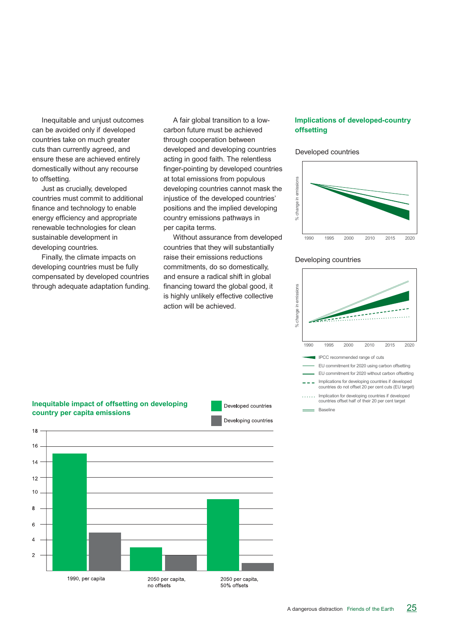Inequitable and unjust outcomes can be avoided only if developed countries take on much greater cuts than currently agreed, and ensure these are achieved entirely domestically without any recourse to offsetting.

Just as crucially, developed countries must commit to additional finance and technology to enable energy efficiency and appropriate renewable technologies for clean sustainable development in developing countries.

Finally, the climate impacts on developing countries must be fully compensated by developed countries through adequate adaptation funding.

A fair global transition to a lowcarbon future must be achieved through cooperation between developed and developing countries acting in good faith. The relentless finger-pointing by developed countries at total emissions from populous developing countries cannot mask the injustice of the developed countries' positions and the implied developing country emissions pathways in per capita terms.

Without assurance from developed countries that they will substantially raise their emissions reductions commitments, do so domestically, and ensure a radical shift in global financing toward the global good, it is highly unlikely effective collective action will be achieved.

#### **Implications of developed-country offsetting**

#### Developed countries



#### Developing countries





**Inequitable impact of offsetting on developing country per capita emissions**

Developed countries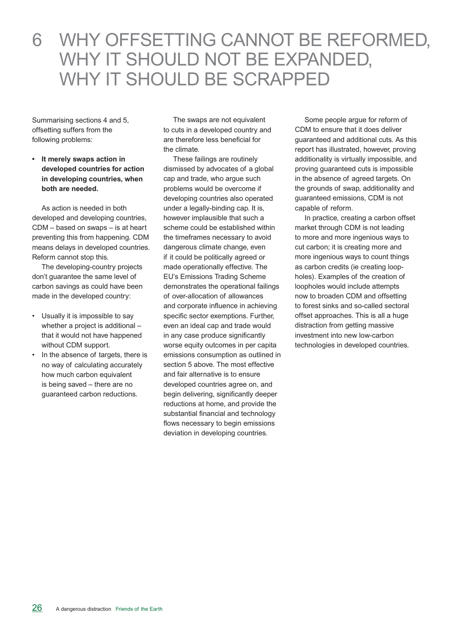### 6 WHY OFFSETTING CANNOT BE REFORMED, WHY IT SHOULD NOT BE EXPANDED, WHY IT SHOULD BE SCRAPPED

Summarising sections 4 and 5, offsetting suffers from the following problems:

**• It merely swaps action in developed countries for action in developing countries, when both are needed.**

As action is needed in both developed and developing countries, CDM – based on swaps – is at heart preventing this from happening. CDM means delays in developed countries. Reform cannot stop this.

The developing-country projects don't guarantee the same level of carbon savings as could have been made in the developed country:

- • Usually it is impossible to say whether a project is additional – that it would not have happened without CDM support.
- In the absence of targets, there is no way of calculating accurately how much carbon equivalent is being saved – there are no guaranteed carbon reductions.

The swaps are not equivalent to cuts in a developed country and are therefore less beneficial for the climate.

These failings are routinely dismissed by advocates of a global cap and trade, who argue such problems would be overcome if developing countries also operated under a legally-binding cap. It is, however implausible that such a scheme could be established within the timeframes necessary to avoid dangerous climate change, even if it could be politically agreed or made operationally effective. The EU's Emissions Trading Scheme demonstrates the operational failings of over-allocation of allowances and corporate influence in achieving specific sector exemptions. Further, even an ideal cap and trade would in any case produce significantly worse equity outcomes in per capita emissions consumption as outlined in section 5 above. The most effective and fair alternative is to ensure developed countries agree on, and begin delivering, significantly deeper reductions at home, and provide the substantial financial and technology flows necessary to begin emissions deviation in developing countries.

Some people argue for reform of CDM to ensure that it does deliver guaranteed and additional cuts. As this report has illustrated, however, proving additionality is virtually impossible, and proving guaranteed cuts is impossible in the absence of agreed targets. On the grounds of swap, additionality and guaranteed emissions, CDM is not capable of reform.

In practice, creating a carbon offset market through CDM is not leading to more and more ingenious ways to cut carbon; it is creating more and more ingenious ways to count things as carbon credits (ie creating loopholes). Examples of the creation of loopholes would include attempts now to broaden CDM and offsetting to forest sinks and so-called sectoral offset approaches. This is all a huge distraction from getting massive investment into new low-carbon technologies in developed countries.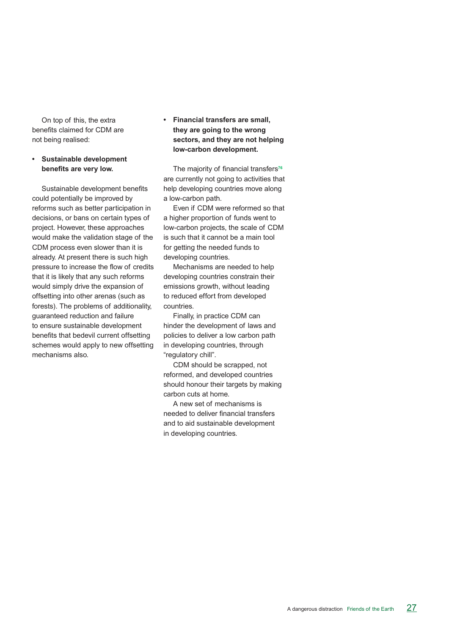On top of this, the extra benefits claimed for CDM are not being realised:

#### **Sustainable development benefits are very low.**

Sustainable development benefits could potentially be improved by reforms such as better participation in decisions, or bans on certain types of project. However, these approaches would make the validation stage of the CDM process even slower than it is already. At present there is such high pressure to increase the flow of credits that it is likely that any such reforms would simply drive the expansion of offsetting into other arenas (such as forests). The problems of additionality, guaranteed reduction and failure to ensure sustainable development benefits that bedevil current offsetting schemes would apply to new offsetting mechanisms also.

**• Financial transfers are small, they are going to the wrong sectors, and they are not helping low-carbon development.**

The majority of financial transfers**<sup>76</sup>** are currently not going to activities that help developing countries move along a low-carbon path.

Even if CDM were reformed so that a higher proportion of funds went to low-carbon projects, the scale of CDM is such that it cannot be a main tool for getting the needed funds to developing countries.

Mechanisms are needed to help developing countries constrain their emissions growth, without leading to reduced effort from developed countries.

Finally, in practice CDM can hinder the development of laws and policies to deliver a low carbon path in developing countries, through "regulatory chill".

CDM should be scrapped, not reformed, and developed countries should honour their targets by making carbon cuts at home.

A new set of mechanisms is needed to deliver financial transfers and to aid sustainable development in developing countries.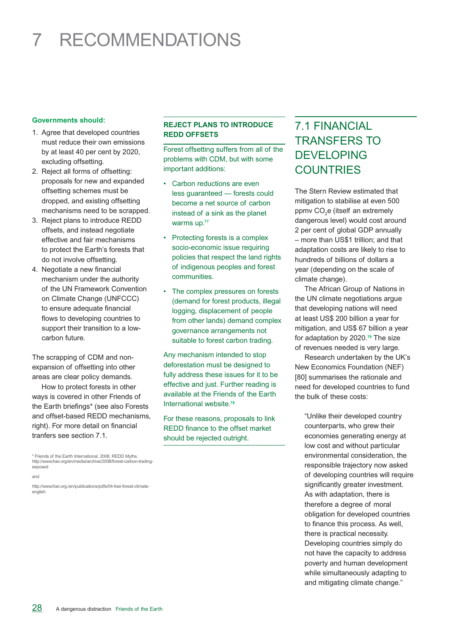## 7 recommendations

#### **Governments should:**

- 1. Agree that developed countries must reduce their own emissions by at least 40 per cent by 2020, excluding offsetting.
- 2. Reject all forms of offsetting: proposals for new and expanded offsetting schemes must be dropped, and existing offsetting mechanisms need to be scrapped.
- 3. Reject plans to introduce REDD offsets, and instead negotiate effective and fair mechanisms to protect the Earth's forests that do not involve offsetting.
- 4. Negotiate a new financial mechanism under the authority of the UN Framework Convention on Climate Change (UNFCCC) to ensure adequate financial flows to developing countries to support their transition to a lowcarbon future.

The scrapping of CDM and nonexpansion of offsetting into other areas are clear policy demands.

 How to protect forests in other ways is covered in other Friends of the Earth briefings\* (see also Forests and offset-based REDD mechanisms, right). For more detail on financial tranfers see section 7.1.

\* Friends of the Earth International, 2008. REDD Myths. http://www.foei.org/en/media/archive/2008/forest-carbon-tradingexposed

http://www.foei.org./en/publications/pdfs/04-foei-forest-climateenglish

#### **Reject plans to introduce redd offsets**

Forest offsetting suffers from all of the problems with CDM, but with some important additions:

- • Carbon reductions are even less guaranteed — forests could become a net source of carbon instead of a sink as the planet warms up.**<sup>77</sup>**
- Protecting forests is a complex socio-economic issue requiring policies that respect the land rights of indigenous peoples and forest communities.
- • The complex pressures on forests (demand for forest products, illegal logging, displacement of people from other lands) demand complex governance arrangements not suitable to forest carbon trading.

Any mechanism intended to stop deforestation must be designed to fully address these issues for it to be effective and just. Further reading is available at the Friends of the Earth International website.**<sup>78</sup>**

For these reasons, proposals to link REDD finance to the offset market should be rejected outright.

### 7.1 Financial transfers to **DEVELOPING COUNTRIES**

The Stern Review estimated that mitigation to stabilise at even 500 ppmv CO<sub>2</sub>e (itself an extremely dangerous level) would cost around 2 per cent of global GDP annually – more than US\$1 trillion; and that adaptation costs are likely to rise to hundreds of billions of dollars a year (depending on the scale of climate change).

The African Group of Nations in the UN climate negotiations argue that developing nations will need at least US\$ 200 billion a year for mitigation, and US\$ 67 billion a year for adaptation by 2020.**<sup>79</sup>** The size of revenues needed is very large.

Research undertaken by the UK's New Economics Foundation (NEF) [80] summarises the rationale and need for developed countries to fund the bulk of these costs:

"Unlike their developed country counterparts, who grew their economies generating energy at low cost and without particular environmental consideration, the responsible trajectory now asked of developing countries will require significantly greater investment. As with adaptation, there is therefore a degree of moral obligation for developed countries to finance this process. As well, there is practical necessity. Developing countries simply do not have the capacity to address poverty and human development while simultaneously adapting to and mitigating climate change."

and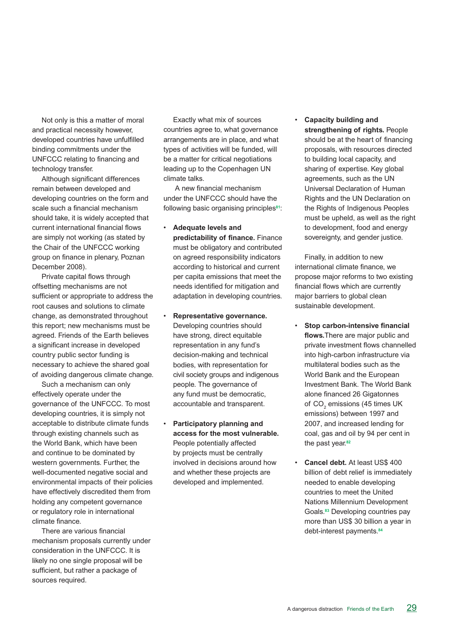Not only is this a matter of moral and practical necessity however, developed countries have unfulfilled binding commitments under the UNFCCC relating to financing and technology transfer.

Although significant differences remain between developed and developing countries on the form and scale such a financial mechanism should take, it is widely accepted that current international financial flows are simply not working (as stated by the Chair of the UNFCCC working group on finance in plenary, Poznan December 2008).

Private capital flows through offsetting mechanisms are not sufficient or appropriate to address the root causes and solutions to climate change, as demonstrated throughout this report; new mechanisms must be agreed. Friends of the Earth believes a significant increase in developed country public sector funding is necessary to achieve the shared goal of avoiding dangerous climate change.

Such a mechanism can only effectively operate under the governance of the UNFCCC. To most developing countries, it is simply not acceptable to distribute climate funds through existing channels such as the World Bank, which have been and continue to be dominated by western governments. Further, the well-documented negative social and environmental impacts of their policies have effectively discredited them from holding any competent governance or regulatory role in international climate finance.

There are various financial mechanism proposals currently under consideration in the UNFCCC. It is likely no one single proposal will be sufficient, but rather a package of sources required.

Exactly what mix of sources countries agree to, what governance arrangements are in place, and what types of activities will be funded, will be a matter for critical negotiations leading up to the Copenhagen UN climate talks.

 A new financial mechanism under the UNFCCC should have the following basic organising principles**81**:

- **Adequate levels and predictability of finance.** Finance must be obligatory and contributed on agreed responsibility indicators according to historical and current per capita emissions that meet the needs identified for mitigation and adaptation in developing countries.
- **Representative governance.** Developing countries should have strong, direct equitable representation in any fund's decision-making and technical bodies, with representation for civil society groups and indigenous people. The governance of any fund must be democratic, accountable and transparent.
- **Participatory planning and access for the most vulnerable.** People potentially affected by projects must be centrally involved in decisions around how and whether these projects are developed and implemented.

• **Capacity building and strengthening of rights.** People should be at the heart of financing proposals, with resources directed to building local capacity, and sharing of expertise. Key global agreements, such as the UN Universal Declaration of Human Rights and the UN Declaration on the Rights of Indigenous Peoples must be upheld, as well as the right to development, food and energy sovereignty, and gender justice.

Finally, in addition to new international climate finance, we propose major reforms to two existing financial flows which are currently major barriers to global clean sustainable development.

- • **Stop carbon-intensive financial flows.**There are major public and private investment flows channelled into high-carbon infrastructure via multilateral bodies such as the World Bank and the European Investment Bank. The World Bank alone financed 26 Gigatonnes of CO<sub>2</sub> emissions (45 times UK emissions) between 1997 and 2007, and increased lending for coal, gas and oil by 94 per cent in the past year.**<sup>82</sup>**
- **Cancel debt.** At least US\$ 400 billion of debt relief is immediately needed to enable developing countries to meet the United Nations Millennium Development Goals.**<sup>83</sup>** Developing countries pay more than US\$ 30 billion a year in debt-interest payments.**84**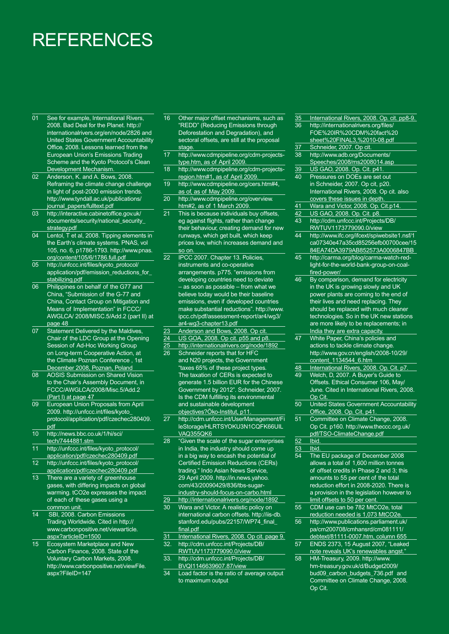## **REFERENCES**

- 01 See for example, International Rivers, 2008. Bad Deal for the Planet. http:// internationalrivers.org/en/node/2826 and United States Government Accountability Office, 2008. Lessons learned from the European Union's Emissions Trading Scheme and the Kyoto Protocol's Clean Development Mechanism.
- 02 Anderson, K. and A. Bows, 2008. Reframing the climate change challenge in light of post-2000 emission trends. http://www.tyndall.ac.uk/publications/ journal\_papers/fulltext.pdf
- 03 http://interactive.cabinetoffice.gov.uk/ documents/security/national\_security\_ strategy.pdf
- 04 Lentol, T et al, 2008. Tipping elements in the Earth's climate systems. PNAS, vol 105, no. 6, p1786-1793. http://www.pnas. org/content/105/6/1786.full.pdf
- 05 http://unfccc.int/files/kyoto\_protocol/ application/pdf/emission\_reductions\_for\_ stabilizing.pdf
- 06 Philippines on behalf of the G77 and China, "Submission of the G-77 and China, Contact Group on Mitigation and Means of Implementation" in FCCC/ AWGLCA/ 2008/MISC.5/Add.2 (part II) at page 48
- 07 Statement Delivered by the Maldives, Chair of the LDC Group at the Opening **Session of Ad-Hoc Working Group** on Long-term Cooperative Action, at the Climate Poznan Conference , 1st December 2008, Poznan, Poland
- 08 AOSIS Submission on Shared Vision to the Chair's Assembly Document, in FCCC/AWGLCA/2008/Misc.5/Add.2 (Part I) at page 47
- 09 European Union Proposals from April 2009. http://unfccc.int/files/kyoto\_ protocol/application/pdf/czechec280409. pdf
- 10 http://news.bbc.co.uk/1/hi/sci/ tech/7444881.stm
- 11 http://unfccc.int/files/kyoto\_protocol/ application/pdf/czechec280409.pdf
- 12 http://unfccc.int/files/kyoto\_protocol/ application/pdf/czechec280409.pdf
- 13 There are a variety of greenhouse gases, with differing impacts on global warming. tCO2e expresses the impact of each of these gases using a common unit.
- 14 SBI, 2008. Carbon Emissions Trading Worldwide. Cited in http:// www.carbonpositive.net/viewarticle. aspx?articleID=1500
- 15 Ecosystem Marketplace and New Carbon Finance, 2008. State of the Voluntary Carbon Markets, 2008. http://www.carbonpositive.net/viewFile. aspx?FileID=147
- 16 Other major offset mechanisms, such as "REDD" (Reducing Emissions through Deforestation and Degradation), and sectoral offsets, are still at the proposal stage
- 17 http://www.cdmpipeline.org/cdm-projectstype.htm, as of April 2009.
- 18 http://www.cdmpipeline.org/cdm-projectsregion.htm#1, as of April 2009.
- 19 http://www.cdmpipeline.org/cers.htm#4, as of, as of May 2009.
- 20 http://www.cdmpipeline.org/overview. htm#2, as of 1 March 2009
- 21 This is because individuals buy offsets, eg against flights, rather than change their behaviour, creating demand for new runways, which get built, which keep prices low, which increases demand and so on.
- 22 IPCC 2007. Chapter 13. Policies, instruments and co-operative arrangements. p775. "emissions from developing countries need to deviate – as soon as possible – from what we believe today would be their baseline emissions, even if developed countries make substantial reductions". http://www. ipcc.ch/pdf/assessment-report/ar4/wg3/ ar4-wg3-chapter13.pdf
- 23 Anderson and Bows, 2008. Op cit.
- 24 US GOA, 2008. Op cit. p55 and p8.
- 25 http://internationalrivers.org/node/1892
- Schneider reports that for HFC and N20 projects, the Government "taxes 65% of these project types. The taxation of CERs is expected to generate 1.5 billion EUR for the Chinese Government by 2012". Schneider, 2007. Is the CDM fulfilling its environmental and sustainable development objectives?Öko-Institut, p11.
- 27 http://cdm.unfccc.int/UserManagement/Fi leStorage/HLRTSYOKU3N1CQFK66UIL VAQ355QK6
- 28 "Given the scale of the sugar enterprises in India, the industry should come up in a big way to encash the potential of Certified Emission Reductions (CERs) trading." Indo Asian News Service, 29 April 2009. http://in.news.yahoo. com/43/20090429/836/tbs-sugarindustry-should-focus-on-carbo.html
- 29 http://internationalrivers.org/node/1892 Wara and Victor. A realistic policy on international carbon offsets. http://iis-db. stanford.edu/pubs/22157/WP74\_final\_ final.pdf
- 31 International Rivers, 2008. Op cit. page 9. 32. http://cdm.unfccc.int/Projects/DB/
- RWTUV1173779090.0/view 33. http://cdm.unfccc.int/Projects/DB/
- BVQI1146639607.87/view
- 34 Load factor is the ratio of average output to maximum output

| 35              | International Rivers, 2008. Op. cit. pp8-9. |
|-----------------|---------------------------------------------|
| 36              | http://internationalrivers.org/files/       |
|                 | FOE%20IR%20CDM%20fact%20                    |
|                 | sheet%20FINAL3,%2010-08.pdf                 |
| $\overline{37}$ | Schneider, 2007. Op cit.                    |
| 38              | http://www.adb.org/Documents/               |
|                 |                                             |
|                 | Speeches/2008/ms2008014.asp                 |
| $\overline{39}$ | US GAO, 2008. Op. Cit. p41.                 |
| 40              | Pressures on DOEs are set out               |
|                 | in Schneider, 2007. Op cit, p20.            |
|                 | International Rivers, 2008. Op cit. also    |
|                 | covers these issues in depth.               |
| 41              | Wara and Victor, 2008. Op. Cit.p14.         |
| 42              | US GAO, 2008. Op. Cit. p8.                  |
| 43              | http://cdm.unfccc.int/Projects/DB/          |
|                 | RWTUV1173779090.0/view                      |
| 44              | http://www.ifc.org/ifcext/spiwebsite1.nsf/1 |
|                 | ca07340e47a35cd85256efb00700cee/15          |
|                 |                                             |
|                 | 84EA74DA3979AB852573A0006847BB              |
| 45              | http://carma.org/blog/carma-watch-red-      |
|                 | light-for-the-world-bank-group-on-coal-     |
|                 | fired-power/                                |
| 46              | By comparison, demand for electricity       |
|                 | in the UK is growing slowly and UK          |
|                 | power plants are coming to the end of       |
|                 | their lives and need replacing. They        |
|                 | should be replaced with much cleaner        |
|                 | technologies. So in the UK new stations     |
|                 | are more likely to be replacements; in      |
|                 |                                             |
|                 | India they are extra capacity.              |
| 47              | White Paper, China's policies and           |
|                 | actions to tackle climate change.           |
|                 | http://www.gov.cn/english/2008-10/29/       |
|                 | content_1134544_6.htm                       |
| $\overline{48}$ | International Rivers, 2008. Op. Cit. p7.    |
| 49              | Welch, D, 2007. A Buyer's Guide to          |
|                 | Offsets. Ethical Consumer 106, May/         |
|                 | June. Cited in International Rivers, 2008.  |
|                 | Op Cit.                                     |
| 50              | United States Government Accountability     |
|                 | Office, 2008. Op. Cit. p41.                 |
| 51              | Committee on Climate Change, 2008.          |
|                 | Op Cit. p160. http://www.theccc.org.uk/     |
|                 |                                             |
|                 | pdf/TSO-ClimateChange.pdf                   |
| 52              | Ibid.                                       |
| 53              | Ibid.                                       |
| 54              | The EU package of December 2008             |
|                 | allows a total of 1,600 million tonnes      |
|                 | of offset credits in Phase 2 and 3; this    |
|                 | amounts to 55 per cent of the total         |
|                 | reduction effort in 2008-2020. There is     |
|                 | a provision in the legislation however to   |
|                 | limit offsets to 50 per cent.               |
| 55              | CDM use can be 782 MtCO2e, total            |
|                 | reduction needed is 1,073 MtCO2e.           |
| 56              | http://www.publications.parliament.uk/      |
|                 |                                             |
|                 | pa/cm200708/cmhansrd/cm081111/              |
|                 | debtext/81111-0007.htm, column 655          |
| 57              | ENDS 2373, 15 August 2007, "Leaked          |
|                 | note reveals UK's renewables angst."        |
| 58              | HM-Treasury, 2009. http://www.              |
|                 | hm-treasury.gov.uk/d/Budget2009/            |
|                 | bud09_carbon_budgets_736.pdf and            |
|                 | Committee on Climate Change, 2008.          |

Op Cit.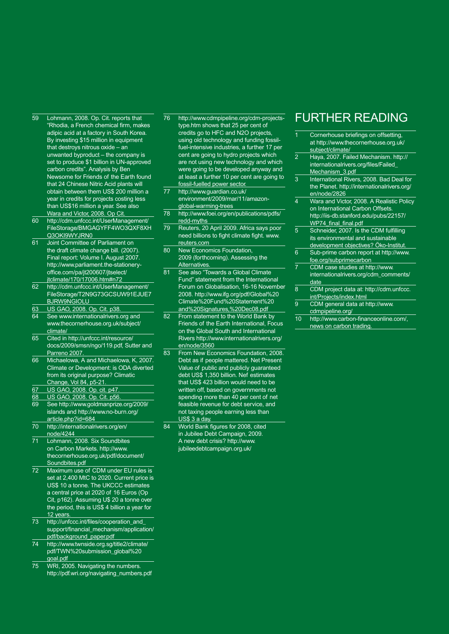- 59 Lohmann, 2008. Op. Cit. reports that "Rhodia, a French chemical firm, makes adipic acid at a factory in South Korea. By investing \$15 million in equipment that destroys nitrous oxide – an unwanted byproduct – the company is set to produce \$1 billion in UN-approved carbon credits". Analysis by Ben Newsome for Friends of the Earth found that 24 Chinese Nitric Acid plants will obtain between them US\$ 200 million a year in credits for projects costing less than US\$16 million a year. See also Wara and Victor, 2008. Op Cit.
- 60 http://cdm.unfccc.int/UserManagement/ FileStorage/BMGAGYFF4WO3QXF8XH Q3OKI9WYJRN0
- 61 Joint Committee of Parliament on the draft climate change bill. (2007). Final report: Volume I. August 2007. http://www.parliament.the-stationeryoffice.com/pa/jt200607/jtselect/ jtclimate/170/17006.htm#n72
- 62 http://cdm.unfccc.int/UserManagement/ FileStorage/T2N9G73GCSUW91EJUE7 BJRW9NGIOLU
- 63 US GAO, 2008. Op. Cit. p38.
- 64 See www.internationalrivers.org and www.thecornerhouse.org.uk/subject/ climate/
- 65 Cited in http://unfccc.int/resource/ docs/2009/smsn/ngo/119.pdf, Sutter and Parreno 2007.
- 66 Michaelowa, A and Michaelowa, K, 2007. Climate or Development: is ODA diverted from its original purpose? Climatic Change, Vol 84, p5-21.
- 67 US GAO, 2008. Op. cit. p47.
- 68 US GAO, 2008. Op. Cit. p56.<br>69 See http://www.goldmanprize
- 69 See http://www.goldmanprize.org/2009/ islands and http://www.no-burn.org/ article.php?id=684
- 70 http://internationalrivers.org/en/ node/4244
- 71 Lohmann, 2008. Six Soundbites on Carbon Markets. http://www. thecornerhouse.org.uk/pdf/document/ Soundbites.pdf
- 72 Maximum use of CDM under EU rules is set at 2,400 MtC to 2020. Current price is US\$ 10 a tonne. The UKCCC estimates a central price at 2020 of 16 Euros (Op Cit, p162). Assuming U\$ 20 a tonne over the period, this is US\$ 4 billion a year for 12 years.
- 73 http://unfccc.int/files/cooperation\_and\_ support/financial\_mechanism/application/ pdf/background\_paper.pdf
- 74 http://www.twnside.org.sg/title2/climate/ pdf/TWN%20submission\_global%20 goal.pdf
- 75 WRI, 2005. Navigating the numbers. http://pdf.wri.org/navigating\_numbers.pdf
- 76 http://www.cdmpipeline.org/cdm-projectstype.htm shows that 25 per cent of credits go to HFC and N2O projects, using old technology and funding fossilfuel-intensive industries, a further 17 per cent are going to hydro projects which are not using new technology and which were going to be developed anyway and at least a further 10 per cent are going to fossil-fuelled power sector.
- 77 http://www.guardian.co.uk/ environment/2009/mar/11/amazonglobal-warming-trees
- 78 http://www.foei.org/en/publications/pdfs/ redd-myths
- 79 Reuters, 20 April 2009. Africa says poor need billions to fight climate fight. www. reuters.com
- 80 New Economics Foundation, 2009 (forthcoming). Assessing the Alternatives.
- 81 See also "Towards a Global Climate Fund" statement from the International Forum on Globalisation, 16-16 November 2008. http://www.ifg.org/pdf/Global%20 Climate%20Fund%20Statement%20 and%20Signatures,%20Dec08.pdf
- 82 From statement to the World Bank by Friends of the Earth International, Focus on the Global South and International Rivers http://www.internationalrivers.org/ en/node/3560
- 83 From New Economics Foundation, 2008. Debt as if people mattered. Net Present Value of public and publicly guaranteed debt US\$ 1,350 billion. Nef estimates that US\$ 423 billion would need to be written off, based on governments not spending more than 40 per cent of net feasible revenue for debt service, and not taxing people earning less than US\$ 3 a day.
- 84 World Bank figures for 2008, cited in Jubilee Debt Campaign, 2009. A new debt crisis? http://www. jubileedebtcampaign.org.uk/

### Further reading

- Cornerhouse briefings on offsetting, at http://www.thecornerhouse.org.uk/ subject/climate/ 2 Haya, 2007. Failed Mechanism. http:// internationalrivers.org/files/Failed\_ Mechanism\_3.pdf 3 International Rivers, 2008. Bad Deal for the Planet. http://internationalrivers.org/ en/node/2826 Wara and Victor, 2008. A Realistic Policy on International Carbon Offsets. http://iis-db.stanford.edu/pubs/22157/ WP74\_final\_final.pdf 5 Schneider, 2007. Is the CDM fulfilling its environmental and sustainable development objectives? Öko-Institut. 6 Sub-prime carbon report at http://www. foe.org/subprimecarbon 7 CDM case studies at http://www. internationalrivers.org/cdm\_comments/ date
- 8 CDM project data at: http://cdm.unfccc. int/Projects/index.html
- 9 CDM general data at http://www. cdmpipeline.org/
- 10 http://www.carbon-financeonline.com/, news on carbon trading.